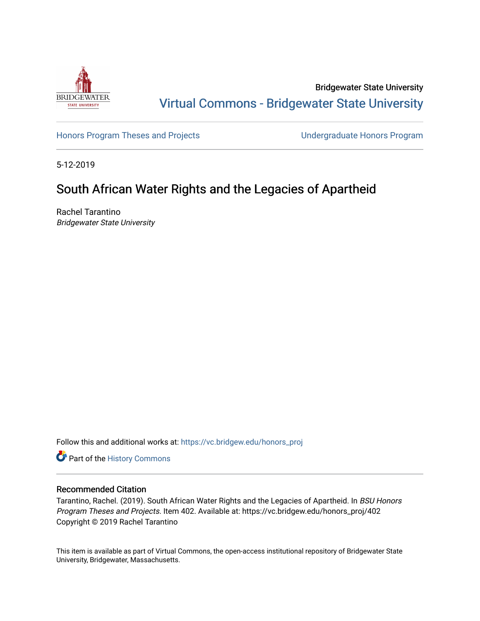

Bridgewater State University [Virtual Commons - Bridgewater State University](https://vc.bridgew.edu/) 

[Honors Program Theses and Projects](https://vc.bridgew.edu/honors_proj) [Undergraduate Honors Program](https://vc.bridgew.edu/honors) 

5-12-2019

## South African Water Rights and the Legacies of Apartheid

Rachel Tarantino Bridgewater State University

Follow this and additional works at: [https://vc.bridgew.edu/honors\\_proj](https://vc.bridgew.edu/honors_proj?utm_source=vc.bridgew.edu%2Fhonors_proj%2F402&utm_medium=PDF&utm_campaign=PDFCoverPages)

Part of the [History Commons](http://network.bepress.com/hgg/discipline/489?utm_source=vc.bridgew.edu%2Fhonors_proj%2F402&utm_medium=PDF&utm_campaign=PDFCoverPages) 

### Recommended Citation

Tarantino, Rachel. (2019). South African Water Rights and the Legacies of Apartheid. In BSU Honors Program Theses and Projects. Item 402. Available at: https://vc.bridgew.edu/honors\_proj/402 Copyright © 2019 Rachel Tarantino

This item is available as part of Virtual Commons, the open-access institutional repository of Bridgewater State University, Bridgewater, Massachusetts.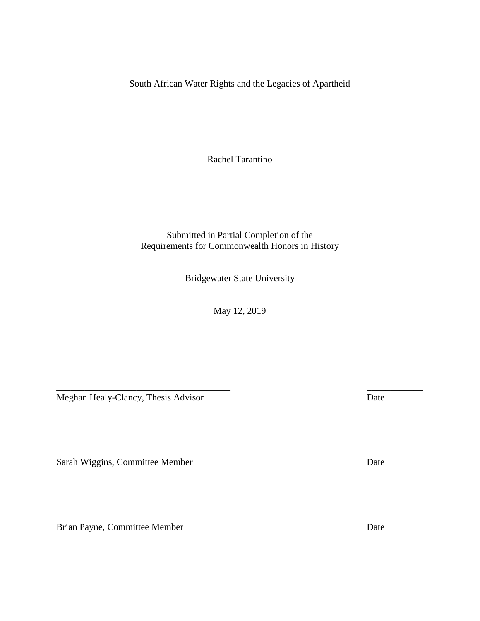South African Water Rights and the Legacies of Apartheid

Rachel Tarantino

Submitted in Partial Completion of the Requirements for Commonwealth Honors in History

Bridgewater State University

May 12, 2019

\_\_\_\_\_\_\_\_\_\_\_\_\_\_\_\_\_\_\_\_\_\_\_\_\_\_\_\_\_\_\_\_\_\_\_\_\_ \_\_\_\_\_\_\_\_\_\_\_\_

\_\_\_\_\_\_\_\_\_\_\_\_\_\_\_\_\_\_\_\_\_\_\_\_\_\_\_\_\_\_\_\_\_\_\_\_\_ \_\_\_\_\_\_\_\_\_\_\_\_

 $\overline{\phantom{a}}$  , and the contract of the contract of the contract of the contract of the contract of the contract of the contract of the contract of the contract of the contract of the contract of the contract of the contrac

Meghan Healy-Clancy, Thesis Advisor Date

Sarah Wiggins, Committee Member Date

Brian Payne, Committee Member Date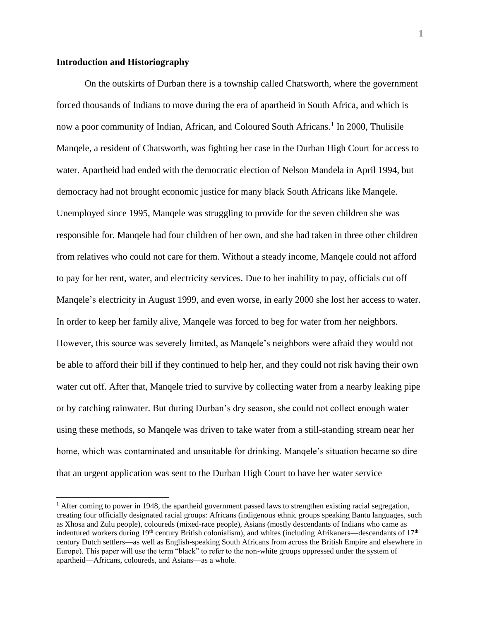#### **Introduction and Historiography**

 $\overline{\phantom{a}}$ 

On the outskirts of Durban there is a township called Chatsworth, where the government forced thousands of Indians to move during the era of apartheid in South Africa, and which is now a poor community of Indian, African, and Coloured South Africans.<sup>1</sup> In 2000, Thulisile Manqele, a resident of Chatsworth, was fighting her case in the Durban High Court for access to water. Apartheid had ended with the democratic election of Nelson Mandela in April 1994, but democracy had not brought economic justice for many black South Africans like Manqele. Unemployed since 1995, Manqele was struggling to provide for the seven children she was responsible for. Manqele had four children of her own, and she had taken in three other children from relatives who could not care for them. Without a steady income, Manqele could not afford to pay for her rent, water, and electricity services. Due to her inability to pay, officials cut off Manqele's electricity in August 1999, and even worse, in early 2000 she lost her access to water. In order to keep her family alive, Manqele was forced to beg for water from her neighbors. However, this source was severely limited, as Manqele's neighbors were afraid they would not be able to afford their bill if they continued to help her, and they could not risk having their own water cut off. After that, Manqele tried to survive by collecting water from a nearby leaking pipe or by catching rainwater. But during Durban's dry season, she could not collect enough water using these methods, so Manqele was driven to take water from a still-standing stream near her home, which was contaminated and unsuitable for drinking. Manqele's situation became so dire that an urgent application was sent to the Durban High Court to have her water service

 $<sup>1</sup>$  After coming to power in 1948, the apartheid government passed laws to strengthen existing racial segregation,</sup> creating four officially designated racial groups: Africans (indigenous ethnic groups speaking Bantu languages, such as Xhosa and Zulu people), coloureds (mixed-race people), Asians (mostly descendants of Indians who came as indentured workers during  $19<sup>th</sup>$  century British colonialism), and whites (including Afrikaners—descendants of  $17<sup>th</sup>$ century Dutch settlers—as well as English-speaking South Africans from across the British Empire and elsewhere in Europe). This paper will use the term "black" to refer to the non-white groups oppressed under the system of apartheid—Africans, coloureds, and Asians—as a whole.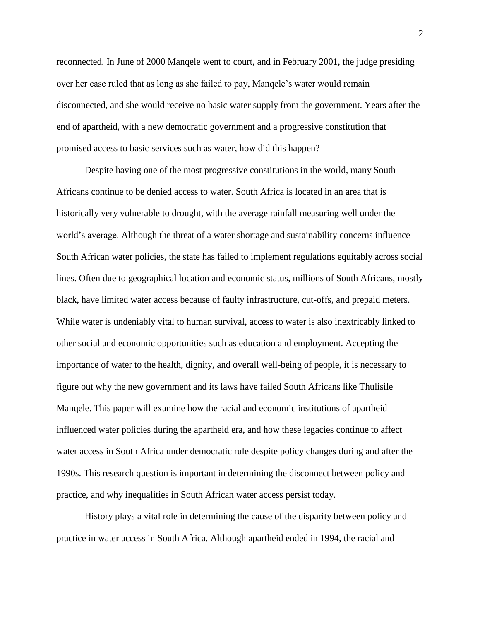reconnected. In June of 2000 Manqele went to court, and in February 2001, the judge presiding over her case ruled that as long as she failed to pay, Manqele's water would remain disconnected, and she would receive no basic water supply from the government. Years after the end of apartheid, with a new democratic government and a progressive constitution that promised access to basic services such as water, how did this happen?

Despite having one of the most progressive constitutions in the world, many South Africans continue to be denied access to water. South Africa is located in an area that is historically very vulnerable to drought, with the average rainfall measuring well under the world's average. Although the threat of a water shortage and sustainability concerns influence South African water policies, the state has failed to implement regulations equitably across social lines. Often due to geographical location and economic status, millions of South Africans, mostly black, have limited water access because of faulty infrastructure, cut-offs, and prepaid meters. While water is undeniably vital to human survival, access to water is also inextricably linked to other social and economic opportunities such as education and employment. Accepting the importance of water to the health, dignity, and overall well-being of people, it is necessary to figure out why the new government and its laws have failed South Africans like Thulisile Manqele. This paper will examine how the racial and economic institutions of apartheid influenced water policies during the apartheid era, and how these legacies continue to affect water access in South Africa under democratic rule despite policy changes during and after the 1990s. This research question is important in determining the disconnect between policy and practice, and why inequalities in South African water access persist today.

History plays a vital role in determining the cause of the disparity between policy and practice in water access in South Africa. Although apartheid ended in 1994, the racial and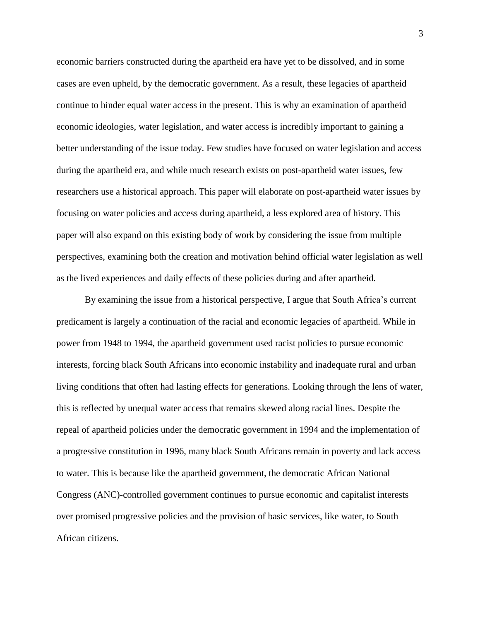economic barriers constructed during the apartheid era have yet to be dissolved, and in some cases are even upheld, by the democratic government. As a result, these legacies of apartheid continue to hinder equal water access in the present. This is why an examination of apartheid economic ideologies, water legislation, and water access is incredibly important to gaining a better understanding of the issue today. Few studies have focused on water legislation and access during the apartheid era, and while much research exists on post-apartheid water issues, few researchers use a historical approach. This paper will elaborate on post-apartheid water issues by focusing on water policies and access during apartheid, a less explored area of history. This paper will also expand on this existing body of work by considering the issue from multiple perspectives, examining both the creation and motivation behind official water legislation as well as the lived experiences and daily effects of these policies during and after apartheid.

By examining the issue from a historical perspective, I argue that South Africa's current predicament is largely a continuation of the racial and economic legacies of apartheid. While in power from 1948 to 1994, the apartheid government used racist policies to pursue economic interests, forcing black South Africans into economic instability and inadequate rural and urban living conditions that often had lasting effects for generations. Looking through the lens of water, this is reflected by unequal water access that remains skewed along racial lines. Despite the repeal of apartheid policies under the democratic government in 1994 and the implementation of a progressive constitution in 1996, many black South Africans remain in poverty and lack access to water. This is because like the apartheid government, the democratic African National Congress (ANC)-controlled government continues to pursue economic and capitalist interests over promised progressive policies and the provision of basic services, like water, to South African citizens.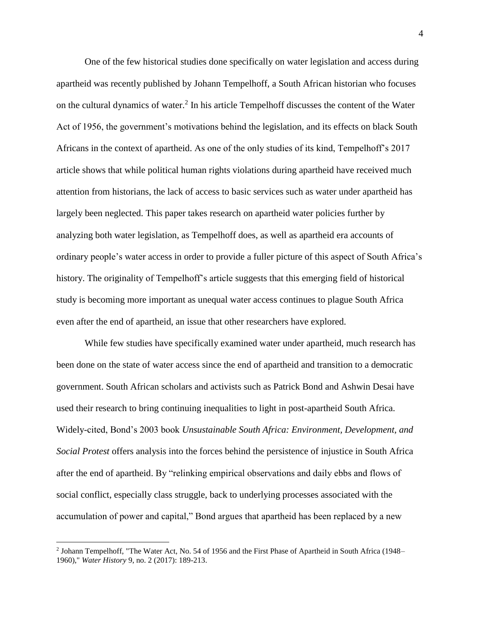One of the few historical studies done specifically on water legislation and access during apartheid was recently published by Johann Tempelhoff, a South African historian who focuses on the cultural dynamics of water.<sup>2</sup> In his article Tempelhoff discusses the content of the Water Act of 1956, the government's motivations behind the legislation, and its effects on black South Africans in the context of apartheid. As one of the only studies of its kind, Tempelhoff's 2017 article shows that while political human rights violations during apartheid have received much attention from historians, the lack of access to basic services such as water under apartheid has largely been neglected. This paper takes research on apartheid water policies further by analyzing both water legislation, as Tempelhoff does, as well as apartheid era accounts of ordinary people's water access in order to provide a fuller picture of this aspect of South Africa's history. The originality of Tempelhoff's article suggests that this emerging field of historical study is becoming more important as unequal water access continues to plague South Africa even after the end of apartheid, an issue that other researchers have explored.

While few studies have specifically examined water under apartheid, much research has been done on the state of water access since the end of apartheid and transition to a democratic government. South African scholars and activists such as Patrick Bond and Ashwin Desai have used their research to bring continuing inequalities to light in post-apartheid South Africa. Widely-cited, Bond's 2003 book *Unsustainable South Africa: Environment, Development, and Social Protest* offers analysis into the forces behind the persistence of injustice in South Africa after the end of apartheid. By "relinking empirical observations and daily ebbs and flows of social conflict, especially class struggle, back to underlying processes associated with the accumulation of power and capital," Bond argues that apartheid has been replaced by a new

<sup>2</sup> Johann Tempelhoff, "The Water Act, No. 54 of 1956 and the First Phase of Apartheid in South Africa (1948– 1960)," *Water History* 9, no. 2 (2017): 189-213.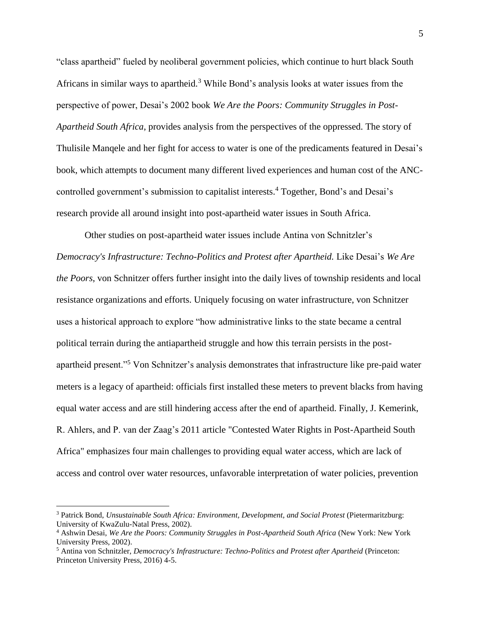"class apartheid" fueled by neoliberal government policies, which continue to hurt black South Africans in similar ways to apartheid.<sup>3</sup> While Bond's analysis looks at water issues from the perspective of power, Desai's 2002 book *We Are the Poors: Community Struggles in Post-Apartheid South Africa*, provides analysis from the perspectives of the oppressed. The story of Thulisile Manqele and her fight for access to water is one of the predicaments featured in Desai's book, which attempts to document many different lived experiences and human cost of the ANCcontrolled government's submission to capitalist interests.<sup>4</sup> Together, Bond's and Desai's research provide all around insight into post-apartheid water issues in South Africa.

Other studies on post-apartheid water issues include Antina von Schnitzler's *Democracy's Infrastructure: Techno-Politics and Protest after Apartheid.* Like Desai's *We Are the Poors*, von Schnitzer offers further insight into the daily lives of township residents and local resistance organizations and efforts. Uniquely focusing on water infrastructure, von Schnitzer uses a historical approach to explore "how administrative links to the state became a central political terrain during the antiapartheid struggle and how this terrain persists in the postapartheid present."<sup>5</sup> Von Schnitzer's analysis demonstrates that infrastructure like pre-paid water meters is a legacy of apartheid: officials first installed these meters to prevent blacks from having equal water access and are still hindering access after the end of apartheid. Finally, J. Kemerink, R. Ahlers, and P. van der Zaag's 2011 article "Contested Water Rights in Post-Apartheid South Africa" emphasizes four main challenges to providing equal water access, which are lack of access and control over water resources, unfavorable interpretation of water policies, prevention

l

<sup>3</sup> Patrick Bond, *Unsustainable South Africa: Environment, Development, and Social Protest* (Pietermaritzburg: University of KwaZulu-Natal Press, 2002).

<sup>4</sup> Ashwin Desai, *We Are the Poors: Community Struggles in Post-Apartheid South Africa* (New York: New York University Press, 2002).

<sup>5</sup> Antina von Schnitzler, *Democracy's Infrastructure: Techno-Politics and Protest after Apartheid* (Princeton: Princeton University Press, 2016) 4-5.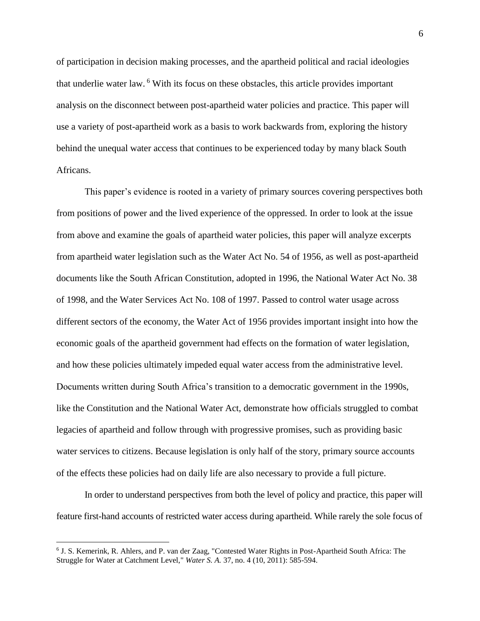of participation in decision making processes, and the apartheid political and racial ideologies that underlie water law. <sup>6</sup> With its focus on these obstacles, this article provides important analysis on the disconnect between post-apartheid water policies and practice. This paper will use a variety of post-apartheid work as a basis to work backwards from, exploring the history behind the unequal water access that continues to be experienced today by many black South Africans.

This paper's evidence is rooted in a variety of primary sources covering perspectives both from positions of power and the lived experience of the oppressed. In order to look at the issue from above and examine the goals of apartheid water policies, this paper will analyze excerpts from apartheid water legislation such as the Water Act No. 54 of 1956, as well as post-apartheid documents like the South African Constitution, adopted in 1996, the National Water Act No. 38 of 1998, and the Water Services Act No. 108 of 1997. Passed to control water usage across different sectors of the economy, the Water Act of 1956 provides important insight into how the economic goals of the apartheid government had effects on the formation of water legislation, and how these policies ultimately impeded equal water access from the administrative level. Documents written during South Africa's transition to a democratic government in the 1990s, like the Constitution and the National Water Act, demonstrate how officials struggled to combat legacies of apartheid and follow through with progressive promises, such as providing basic water services to citizens. Because legislation is only half of the story, primary source accounts of the effects these policies had on daily life are also necessary to provide a full picture.

In order to understand perspectives from both the level of policy and practice, this paper will feature first-hand accounts of restricted water access during apartheid. While rarely the sole focus of

<sup>6</sup> J. S. Kemerink, R. Ahlers, and P. van der Zaag, "Contested Water Rights in Post-Apartheid South Africa: The Struggle for Water at Catchment Level," *Water S. A.* 37, no. 4 (10, 2011): 585-594.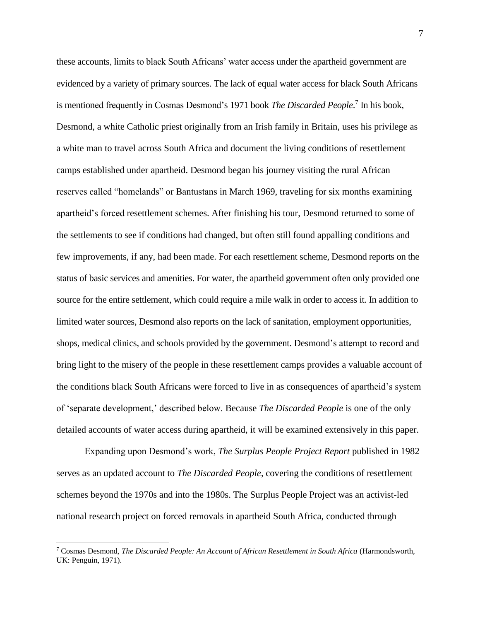these accounts, limits to black South Africans' water access under the apartheid government are evidenced by a variety of primary sources. The lack of equal water access for black South Africans is mentioned frequently in Cosmas Desmond's 1971 book *The Discarded People*. 7 In his book, Desmond, a white Catholic priest originally from an Irish family in Britain, uses his privilege as a white man to travel across South Africa and document the living conditions of resettlement camps established under apartheid. Desmond began his journey visiting the rural African reserves called "homelands" or Bantustans in March 1969, traveling for six months examining apartheid's forced resettlement schemes. After finishing his tour, Desmond returned to some of the settlements to see if conditions had changed, but often still found appalling conditions and few improvements, if any, had been made. For each resettlement scheme, Desmond reports on the status of basic services and amenities. For water, the apartheid government often only provided one source for the entire settlement, which could require a mile walk in order to access it. In addition to limited water sources, Desmond also reports on the lack of sanitation, employment opportunities, shops, medical clinics, and schools provided by the government. Desmond's attempt to record and bring light to the misery of the people in these resettlement camps provides a valuable account of the conditions black South Africans were forced to live in as consequences of apartheid's system of 'separate development,' described below. Because *The Discarded People* is one of the only detailed accounts of water access during apartheid, it will be examined extensively in this paper.

Expanding upon Desmond's work, *The Surplus People Project Report* published in 1982 serves as an updated account to *The Discarded People*, covering the conditions of resettlement schemes beyond the 1970s and into the 1980s. The Surplus People Project was an activist-led national research project on forced removals in apartheid South Africa, conducted through

<sup>7</sup> Cosmas Desmond, *The Discarded People: An Account of African Resettlement in South Africa* (Harmondsworth, UK: Penguin, 1971).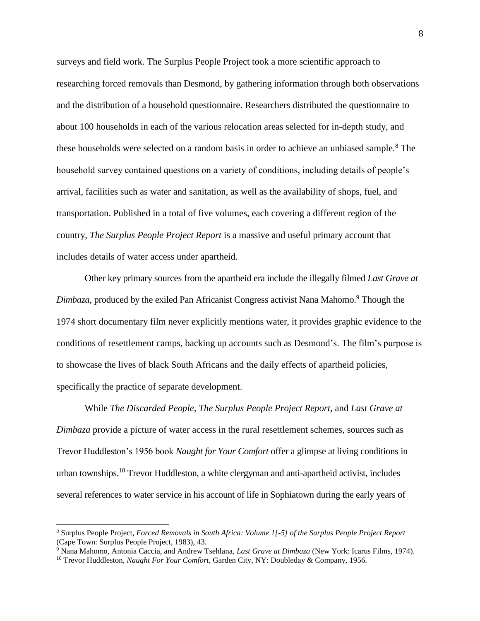surveys and field work. The Surplus People Project took a more scientific approach to researching forced removals than Desmond, by gathering information through both observations and the distribution of a household questionnaire. Researchers distributed the questionnaire to about 100 households in each of the various relocation areas selected for in-depth study, and these households were selected on a random basis in order to achieve an unbiased sample.<sup>8</sup> The household survey contained questions on a variety of conditions, including details of people's arrival, facilities such as water and sanitation, as well as the availability of shops, fuel, and transportation. Published in a total of five volumes, each covering a different region of the country, *The Surplus People Project Report* is a massive and useful primary account that includes details of water access under apartheid.

Other key primary sources from the apartheid era include the illegally filmed *Last Grave at Dimbaza*, produced by the exiled Pan Africanist Congress activist Nana Mahomo.<sup>9</sup> Though the 1974 short documentary film never explicitly mentions water, it provides graphic evidence to the conditions of resettlement camps, backing up accounts such as Desmond's. The film's purpose is to showcase the lives of black South Africans and the daily effects of apartheid policies, specifically the practice of separate development.

While *The Discarded People, The Surplus People Project Report,* and *Last Grave at Dimbaza* provide a picture of water access in the rural resettlement schemes, sources such as Trevor Huddleston's 1956 book *Naught for Your Comfort* offer a glimpse at living conditions in urban townships.<sup>10</sup> Trevor Huddleston, a white clergyman and anti-apartheid activist, includes several references to water service in his account of life in Sophiatown during the early years of

<sup>8</sup> Surplus People Project, *Forced Removals in South Africa: Volume 1[-5] of the Surplus People Project Report* (Cape Town: Surplus People Project, 1983), 43.

<sup>9</sup> Nana Mahomo, Antonia Caccia, and Andrew Tsehlana, *Last Grave at Dimbaza* (New York: Icarus Films, 1974).

<sup>10</sup> Trevor Huddleston, *Naught For Your Comfort*, Garden City, NY: Doubleday & Company, 1956.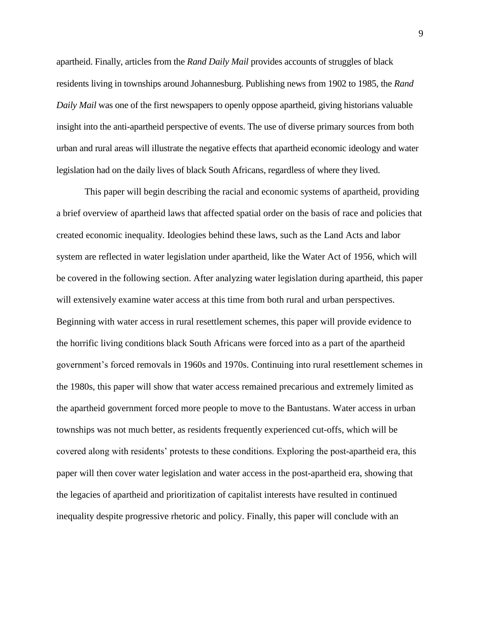apartheid. Finally, articles from the *Rand Daily Mail* provides accounts of struggles of black residents living in townships around Johannesburg. Publishing news from 1902 to 1985, the *Rand Daily Mail* was one of the first newspapers to openly oppose apartheid, giving historians valuable insight into the anti-apartheid perspective of events. The use of diverse primary sources from both urban and rural areas will illustrate the negative effects that apartheid economic ideology and water legislation had on the daily lives of black South Africans, regardless of where they lived.

This paper will begin describing the racial and economic systems of apartheid, providing a brief overview of apartheid laws that affected spatial order on the basis of race and policies that created economic inequality. Ideologies behind these laws, such as the Land Acts and labor system are reflected in water legislation under apartheid, like the Water Act of 1956, which will be covered in the following section. After analyzing water legislation during apartheid, this paper will extensively examine water access at this time from both rural and urban perspectives. Beginning with water access in rural resettlement schemes, this paper will provide evidence to the horrific living conditions black South Africans were forced into as a part of the apartheid government's forced removals in 1960s and 1970s. Continuing into rural resettlement schemes in the 1980s, this paper will show that water access remained precarious and extremely limited as the apartheid government forced more people to move to the Bantustans. Water access in urban townships was not much better, as residents frequently experienced cut-offs, which will be covered along with residents' protests to these conditions. Exploring the post-apartheid era, this paper will then cover water legislation and water access in the post-apartheid era, showing that the legacies of apartheid and prioritization of capitalist interests have resulted in continued inequality despite progressive rhetoric and policy. Finally, this paper will conclude with an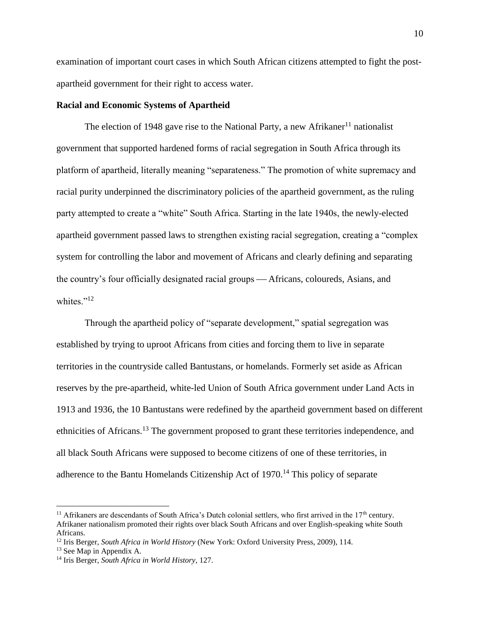examination of important court cases in which South African citizens attempted to fight the postapartheid government for their right to access water.

#### **Racial and Economic Systems of Apartheid**

The election of 1948 gave rise to the National Party, a new Afrikaner<sup>11</sup> nationalist government that supported hardened forms of racial segregation in South Africa through its platform of apartheid, literally meaning "separateness." The promotion of white supremacy and racial purity underpinned the discriminatory policies of the apartheid government, as the ruling party attempted to create a "white" South Africa. Starting in the late 1940s, the newly-elected apartheid government passed laws to strengthen existing racial segregation, creating a "complex system for controlling the labor and movement of Africans and clearly defining and separating the country's four officially designated racial groups — Africans, coloureds, Asians, and whites."<sup>12</sup>

Through the apartheid policy of "separate development," spatial segregation was established by trying to uproot Africans from cities and forcing them to live in separate territories in the countryside called Bantustans, or homelands. Formerly set aside as African reserves by the pre-apartheid, white-led Union of South Africa government under Land Acts in 1913 and 1936, the 10 Bantustans were redefined by the apartheid government based on different ethnicities of Africans.<sup>13</sup> The government proposed to grant these territories independence, and all black South Africans were supposed to become citizens of one of these territories, in adherence to the Bantu Homelands Citizenship Act of 1970.<sup>14</sup> This policy of separate

l

<sup>&</sup>lt;sup>11</sup> Afrikaners are descendants of South Africa's Dutch colonial settlers, who first arrived in the  $17<sup>th</sup>$  century. Afrikaner nationalism promoted their rights over black South Africans and over English-speaking white South Africans.

<sup>12</sup> Iris Berger, *South Africa in World History* (New York: Oxford University Press, 2009), 114.

<sup>13</sup> See Map in Appendix A.

<sup>14</sup> Iris Berger, *South Africa in World History*, 127.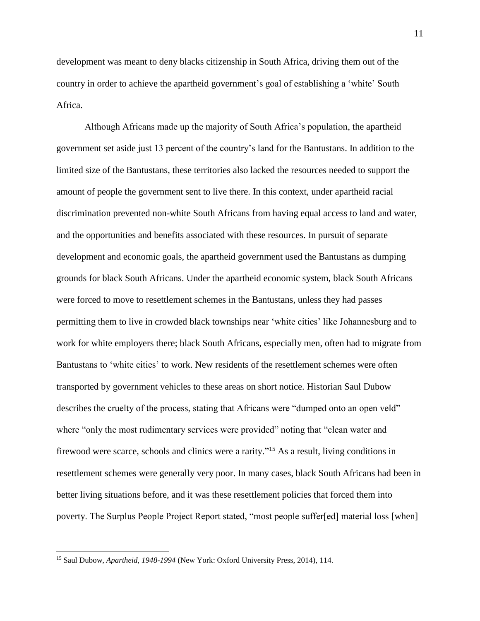development was meant to deny blacks citizenship in South Africa, driving them out of the country in order to achieve the apartheid government's goal of establishing a 'white' South Africa.

Although Africans made up the majority of South Africa's population, the apartheid government set aside just 13 percent of the country's land for the Bantustans. In addition to the limited size of the Bantustans, these territories also lacked the resources needed to support the amount of people the government sent to live there. In this context, under apartheid racial discrimination prevented non-white South Africans from having equal access to land and water, and the opportunities and benefits associated with these resources. In pursuit of separate development and economic goals, the apartheid government used the Bantustans as dumping grounds for black South Africans. Under the apartheid economic system, black South Africans were forced to move to resettlement schemes in the Bantustans, unless they had passes permitting them to live in crowded black townships near 'white cities' like Johannesburg and to work for white employers there; black South Africans, especially men, often had to migrate from Bantustans to 'white cities' to work. New residents of the resettlement schemes were often transported by government vehicles to these areas on short notice. Historian Saul Dubow describes the cruelty of the process, stating that Africans were "dumped onto an open veld" where "only the most rudimentary services were provided" noting that "clean water and firewood were scarce, schools and clinics were a rarity."<sup>15</sup> As a result, living conditions in resettlement schemes were generally very poor. In many cases, black South Africans had been in better living situations before, and it was these resettlement policies that forced them into poverty. The Surplus People Project Report stated, "most people suffer[ed] material loss [when]

<sup>15</sup> Saul Dubow, *Apartheid, 1948-1994* (New York: Oxford University Press, 2014), 114.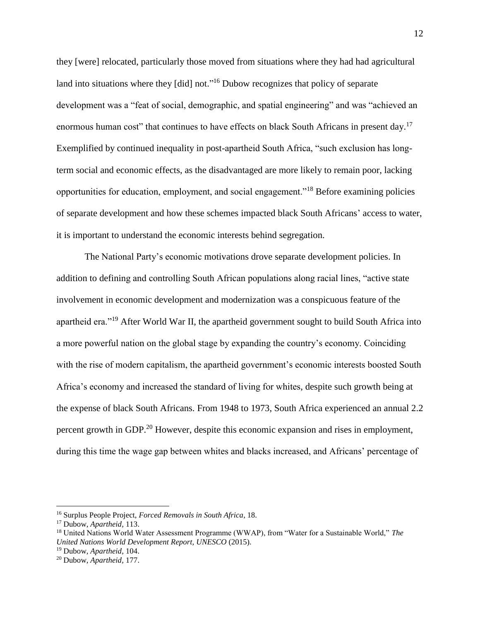they [were] relocated, particularly those moved from situations where they had had agricultural land into situations where they [did] not."<sup>16</sup> Dubow recognizes that policy of separate development was a "feat of social, demographic, and spatial engineering" and was "achieved an enormous human cost" that continues to have effects on black South Africans in present day.<sup>17</sup> Exemplified by continued inequality in post-apartheid South Africa, "such exclusion has longterm social and economic effects, as the disadvantaged are more likely to remain poor, lacking opportunities for education, employment, and social engagement."<sup>18</sup> Before examining policies of separate development and how these schemes impacted black South Africans' access to water, it is important to understand the economic interests behind segregation.

The National Party's economic motivations drove separate development policies. In addition to defining and controlling South African populations along racial lines, "active state involvement in economic development and modernization was a conspicuous feature of the apartheid era."<sup>19</sup> After World War II, the apartheid government sought to build South Africa into a more powerful nation on the global stage by expanding the country's economy. Coinciding with the rise of modern capitalism, the apartheid government's economic interests boosted South Africa's economy and increased the standard of living for whites, despite such growth being at the expense of black South Africans. From 1948 to 1973, South Africa experienced an annual 2.2 percent growth in GDP.<sup>20</sup> However, despite this economic expansion and rises in employment, during this time the wage gap between whites and blacks increased, and Africans' percentage of

l

<sup>16</sup> Surplus People Project, *Forced Removals in South Africa*, 18.

<sup>17</sup> Dubow, *Apartheid,* 113.

<sup>18</sup> United Nations World Water Assessment Programme (WWAP), from "Water for a Sustainable World," *The United Nations World Development Report, UNESCO* (2015).

<sup>19</sup> Dubow, *Apartheid,* 104.

<sup>20</sup> Dubow, *Apartheid,* 177.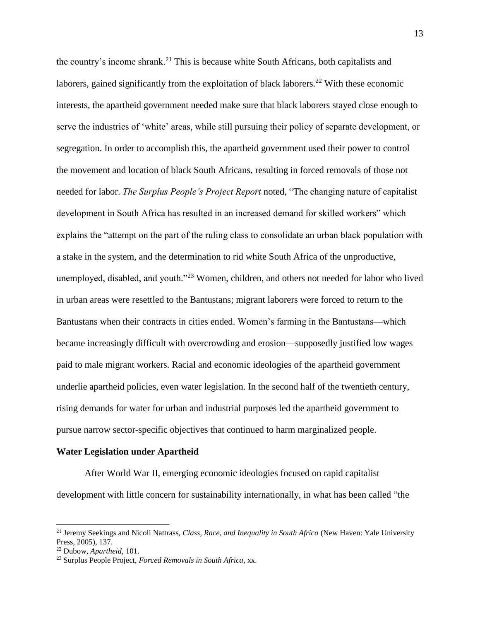the country's income shrank.<sup>21</sup> This is because white South Africans, both capitalists and laborers, gained significantly from the exploitation of black laborers.<sup>22</sup> With these economic interests, the apartheid government needed make sure that black laborers stayed close enough to serve the industries of 'white' areas, while still pursuing their policy of separate development, or segregation. In order to accomplish this, the apartheid government used their power to control the movement and location of black South Africans, resulting in forced removals of those not needed for labor. *The Surplus People's Project Report* noted, "The changing nature of capitalist development in South Africa has resulted in an increased demand for skilled workers" which explains the "attempt on the part of the ruling class to consolidate an urban black population with a stake in the system, and the determination to rid white South Africa of the unproductive, unemployed, disabled, and youth."<sup>23</sup> Women, children, and others not needed for labor who lived in urban areas were resettled to the Bantustans; migrant laborers were forced to return to the Bantustans when their contracts in cities ended. Women's farming in the Bantustans—which became increasingly difficult with overcrowding and erosion—supposedly justified low wages paid to male migrant workers. Racial and economic ideologies of the apartheid government underlie apartheid policies, even water legislation. In the second half of the twentieth century, rising demands for water for urban and industrial purposes led the apartheid government to pursue narrow sector-specific objectives that continued to harm marginalized people.

#### **Water Legislation under Apartheid**

After World War II, emerging economic ideologies focused on rapid capitalist development with little concern for sustainability internationally, in what has been called "the

<sup>21</sup> Jeremy Seekings and Nicoli Nattrass, *Class, Race, and Inequality in South Africa* (New Haven: Yale University Press, 2005), 137.

<sup>22</sup> Dubow, *Apartheid,* 101.

<sup>23</sup> Surplus People Project, *Forced Removals in South Africa*, xx.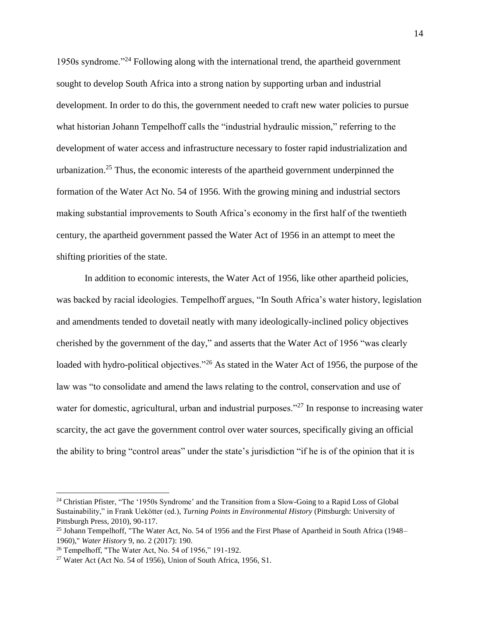1950s syndrome."<sup>24</sup> Following along with the international trend, the apartheid government sought to develop South Africa into a strong nation by supporting urban and industrial development. In order to do this, the government needed to craft new water policies to pursue what historian Johann Tempelhoff calls the "industrial hydraulic mission," referring to the development of water access and infrastructure necessary to foster rapid industrialization and urbanization.<sup>25</sup> Thus, the economic interests of the apartheid government underpinned the formation of the Water Act No. 54 of 1956. With the growing mining and industrial sectors making substantial improvements to South Africa's economy in the first half of the twentieth century, the apartheid government passed the Water Act of 1956 in an attempt to meet the shifting priorities of the state.

In addition to economic interests, the Water Act of 1956, like other apartheid policies, was backed by racial ideologies. Tempelhoff argues, "In South Africa's water history, legislation and amendments tended to dovetail neatly with many ideologically-inclined policy objectives cherished by the government of the day," and asserts that the Water Act of 1956 "was clearly loaded with hydro-political objectives."<sup>26</sup> As stated in the Water Act of 1956, the purpose of the law was "to consolidate and amend the laws relating to the control, conservation and use of water for domestic, agricultural, urban and industrial purposes."<sup>27</sup> In response to increasing water scarcity, the act gave the government control over water sources, specifically giving an official the ability to bring "control areas" under the state's jurisdiction "if he is of the opinion that it is

 $\overline{a}$ 

<sup>&</sup>lt;sup>24</sup> Christian Pfister, "The '1950s Syndrome' and the Transition from a Slow-Going to a Rapid Loss of Global Sustainability," in Frank Uekötter (ed.), *Turning Points in Environmental History* (Pittsburgh: University of Pittsburgh Press, 2010), 90-117.

<sup>&</sup>lt;sup>25</sup> Johann Tempelhoff, "The Water Act, No. 54 of 1956 and the First Phase of Apartheid in South Africa (1948– 1960)," *Water History* 9, no. 2 (2017): 190.

<sup>26</sup> Tempelhoff, "The Water Act, No. 54 of 1956," 191-192.

<sup>&</sup>lt;sup>27</sup> Water Act (Act No. 54 of 1956), Union of South Africa, 1956, S1.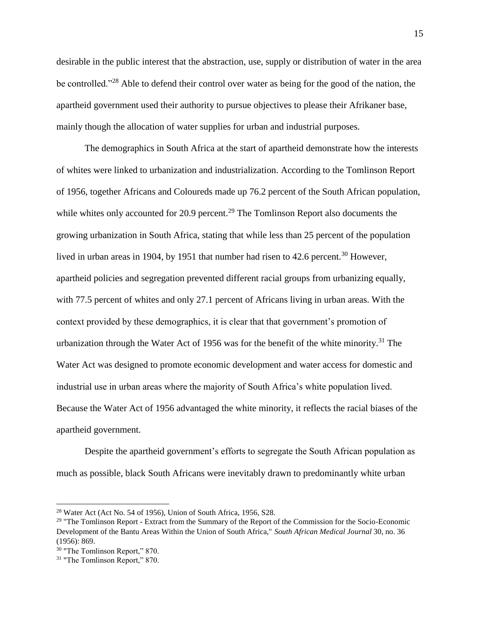desirable in the public interest that the abstraction, use, supply or distribution of water in the area be controlled."<sup>28</sup> Able to defend their control over water as being for the good of the nation, the apartheid government used their authority to pursue objectives to please their Afrikaner base, mainly though the allocation of water supplies for urban and industrial purposes.

The demographics in South Africa at the start of apartheid demonstrate how the interests of whites were linked to urbanization and industrialization. According to the Tomlinson Report of 1956, together Africans and Coloureds made up 76.2 percent of the South African population, while whites only accounted for 20.9 percent.<sup>29</sup> The Tomlinson Report also documents the growing urbanization in South Africa, stating that while less than 25 percent of the population lived in urban areas in 1904, by 1951 that number had risen to 42.6 percent.<sup>30</sup> However, apartheid policies and segregation prevented different racial groups from urbanizing equally, with 77.5 percent of whites and only 27.1 percent of Africans living in urban areas. With the context provided by these demographics, it is clear that that government's promotion of urbanization through the Water Act of 1956 was for the benefit of the white minority.<sup>31</sup> The Water Act was designed to promote economic development and water access for domestic and industrial use in urban areas where the majority of South Africa's white population lived. Because the Water Act of 1956 advantaged the white minority, it reflects the racial biases of the apartheid government.

Despite the apartheid government's efforts to segregate the South African population as much as possible, black South Africans were inevitably drawn to predominantly white urban

 $28$  Water Act (Act No. 54 of 1956), Union of South Africa, 1956, S28.

<sup>&</sup>lt;sup>29</sup> "The Tomlinson Report - Extract from the Summary of the Report of the Commission for the Socio-Economic Development of the Bantu Areas Within the Union of South Africa," *South African Medical Journal* 30, no. 36 (1956): 869.

<sup>30</sup> "The Tomlinson Report," 870.

<sup>31</sup> "The Tomlinson Report," 870.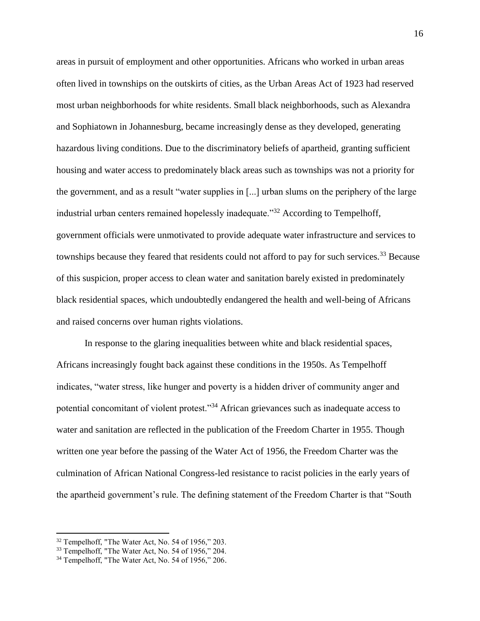areas in pursuit of employment and other opportunities. Africans who worked in urban areas often lived in townships on the outskirts of cities, as the Urban Areas Act of 1923 had reserved most urban neighborhoods for white residents. Small black neighborhoods, such as Alexandra and Sophiatown in Johannesburg, became increasingly dense as they developed, generating hazardous living conditions. Due to the discriminatory beliefs of apartheid, granting sufficient housing and water access to predominately black areas such as townships was not a priority for the government, and as a result "water supplies in [...] urban slums on the periphery of the large industrial urban centers remained hopelessly inadequate."<sup>32</sup> According to Tempelhoff, government officials were unmotivated to provide adequate water infrastructure and services to townships because they feared that residents could not afford to pay for such services.<sup>33</sup> Because of this suspicion, proper access to clean water and sanitation barely existed in predominately black residential spaces, which undoubtedly endangered the health and well-being of Africans and raised concerns over human rights violations.

In response to the glaring inequalities between white and black residential spaces, Africans increasingly fought back against these conditions in the 1950s. As Tempelhoff indicates, "water stress, like hunger and poverty is a hidden driver of community anger and potential concomitant of violent protest."<sup>34</sup> African grievances such as inadequate access to water and sanitation are reflected in the publication of the Freedom Charter in 1955. Though written one year before the passing of the Water Act of 1956, the Freedom Charter was the culmination of African National Congress-led resistance to racist policies in the early years of the apartheid government's rule. The defining statement of the Freedom Charter is that "South

<sup>&</sup>lt;sup>32</sup> Tempelhoff, "The Water Act, No. 54 of 1956," 203.

<sup>33</sup> Tempelhoff, "The Water Act, No. 54 of 1956," 204.

<sup>&</sup>lt;sup>34</sup> Tempelhoff, "The Water Act, No. 54 of 1956," 206.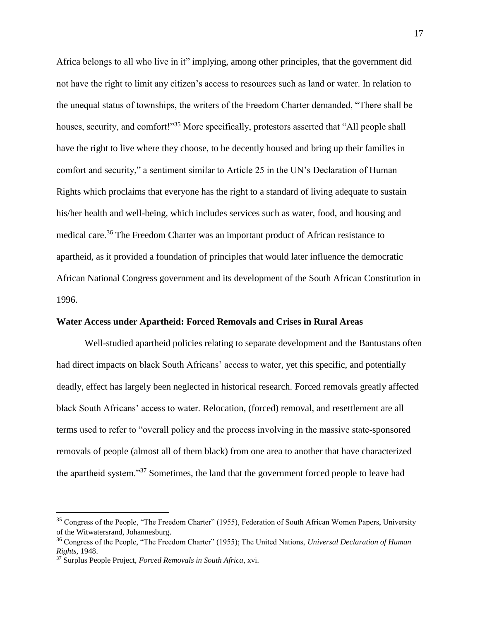Africa belongs to all who live in it" implying, among other principles, that the government did not have the right to limit any citizen's access to resources such as land or water. In relation to the unequal status of townships, the writers of the Freedom Charter demanded, "There shall be houses, security, and comfort!"<sup>35</sup> More specifically, protestors asserted that "All people shall have the right to live where they choose, to be decently housed and bring up their families in comfort and security," a sentiment similar to Article 25 in the UN's Declaration of Human Rights which proclaims that everyone has the right to a standard of living adequate to sustain his/her health and well-being, which includes services such as water, food, and housing and medical care.<sup>36</sup> The Freedom Charter was an important product of African resistance to apartheid, as it provided a foundation of principles that would later influence the democratic African National Congress government and its development of the South African Constitution in 1996.

#### **Water Access under Apartheid: Forced Removals and Crises in Rural Areas**

Well-studied apartheid policies relating to separate development and the Bantustans often had direct impacts on black South Africans' access to water, yet this specific, and potentially deadly, effect has largely been neglected in historical research. Forced removals greatly affected black South Africans' access to water. Relocation, (forced) removal, and resettlement are all terms used to refer to "overall policy and the process involving in the massive state-sponsored removals of people (almost all of them black) from one area to another that have characterized the apartheid system."<sup>37</sup> Sometimes, the land that the government forced people to leave had

<sup>&</sup>lt;sup>35</sup> Congress of the People, "The Freedom Charter" (1955), Federation of South African Women Papers, University of the Witwatersrand, Johannesburg.

<sup>36</sup> Congress of the People, "The Freedom Charter" (1955); The United Nations, *Universal Declaration of Human Rights,* 1948.

<sup>37</sup> Surplus People Project, *Forced Removals in South Africa*, xvi.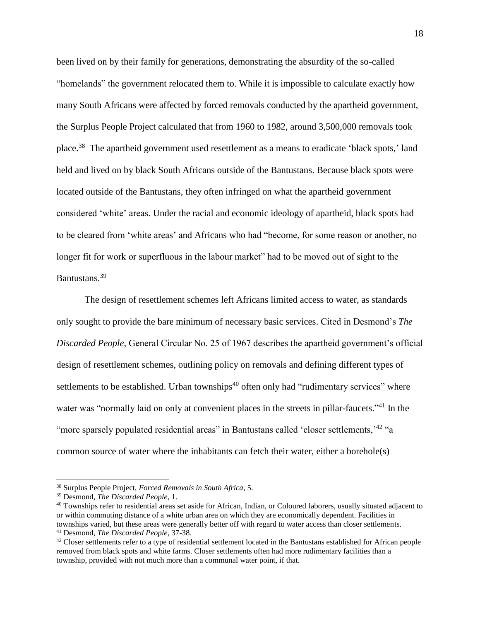been lived on by their family for generations, demonstrating the absurdity of the so-called "homelands" the government relocated them to. While it is impossible to calculate exactly how many South Africans were affected by forced removals conducted by the apartheid government, the Surplus People Project calculated that from 1960 to 1982, around 3,500,000 removals took place.<sup>38</sup> The apartheid government used resettlement as a means to eradicate 'black spots,' land held and lived on by black South Africans outside of the Bantustans. Because black spots were located outside of the Bantustans, they often infringed on what the apartheid government considered 'white' areas. Under the racial and economic ideology of apartheid, black spots had to be cleared from 'white areas' and Africans who had "become, for some reason or another, no longer fit for work or superfluous in the labour market" had to be moved out of sight to the Bantustans.<sup>39</sup>

The design of resettlement schemes left Africans limited access to water, as standards only sought to provide the bare minimum of necessary basic services. Cited in Desmond's *The Discarded People*, General Circular No. 25 of 1967 describes the apartheid government's official design of resettlement schemes, outlining policy on removals and defining different types of settlements to be established. Urban townships $40$  often only had "rudimentary services" where water was "normally laid on only at convenient places in the streets in pillar-faucets."<sup>41</sup> In the " more sparsely populated residential areas" in Bantustans called 'closer settlements,<sup>142</sup> "a common source of water where the inhabitants can fetch their water, either a borehole(s)

<sup>38</sup> Surplus People Project, *Forced Removals in South Africa*, 5.

<sup>39</sup> Desmond, *The Discarded People*, 1.

 $40$  Townships refer to residential areas set aside for African, Indian, or Coloured laborers, usually situated adjacent to or within commuting distance of a white urban area on which they are economically dependent. Facilities in townships varied, but these areas were generally better off with regard to water access than closer settlements.

<sup>41</sup> Desmond, *The Discarded People*, 37-38.

<sup>&</sup>lt;sup>42</sup> Closer settlements refer to a type of residential settlement located in the Bantustans established for African people removed from black spots and white farms. Closer settlements often had more rudimentary facilities than a township, provided with not much more than a communal water point, if that.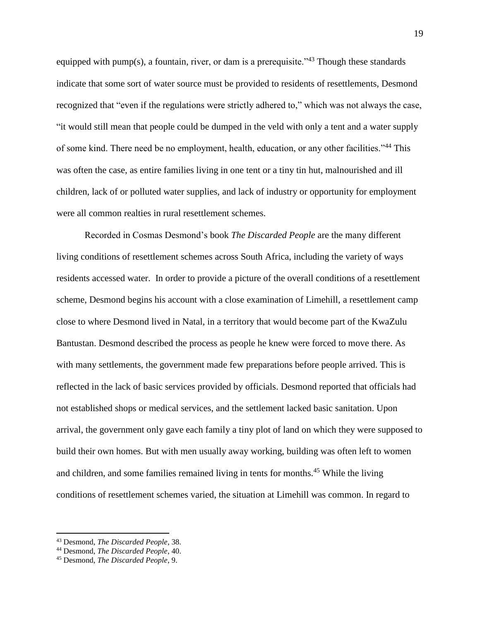equipped with pump(s), a fountain, river, or dam is a prerequisite.<sup> $343$ </sup> Though these standards indicate that some sort of water source must be provided to residents of resettlements, Desmond recognized that "even if the regulations were strictly adhered to," which was not always the case, "it would still mean that people could be dumped in the veld with only a tent and a water supply of some kind. There need be no employment, health, education, or any other facilities."<sup>44</sup> This was often the case, as entire families living in one tent or a tiny tin hut, malnourished and ill children, lack of or polluted water supplies, and lack of industry or opportunity for employment were all common realties in rural resettlement schemes.

Recorded in Cosmas Desmond's book *The Discarded People* are the many different living conditions of resettlement schemes across South Africa, including the variety of ways residents accessed water. In order to provide a picture of the overall conditions of a resettlement scheme, Desmond begins his account with a close examination of Limehill, a resettlement camp close to where Desmond lived in Natal, in a territory that would become part of the KwaZulu Bantustan. Desmond described the process as people he knew were forced to move there. As with many settlements, the government made few preparations before people arrived. This is reflected in the lack of basic services provided by officials. Desmond reported that officials had not established shops or medical services, and the settlement lacked basic sanitation. Upon arrival, the government only gave each family a tiny plot of land on which they were supposed to build their own homes. But with men usually away working, building was often left to women and children, and some families remained living in tents for months.<sup>45</sup> While the living conditions of resettlement schemes varied, the situation at Limehill was common. In regard to

<sup>43</sup> Desmond, *The Discarded People*, 38.

<sup>44</sup> Desmond, *The Discarded People*, 40.

<sup>45</sup> Desmond, *The Discarded People*, 9.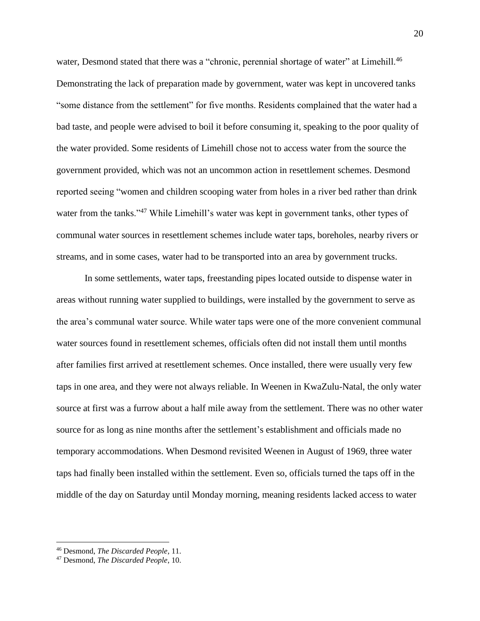water, Desmond stated that there was a "chronic, perennial shortage of water" at Limehill.<sup>46</sup> Demonstrating the lack of preparation made by government, water was kept in uncovered tanks "some distance from the settlement" for five months. Residents complained that the water had a bad taste, and people were advised to boil it before consuming it, speaking to the poor quality of the water provided. Some residents of Limehill chose not to access water from the source the government provided, which was not an uncommon action in resettlement schemes. Desmond reported seeing "women and children scooping water from holes in a river bed rather than drink water from the tanks."<sup>47</sup> While Limehill's water was kept in government tanks, other types of communal water sources in resettlement schemes include water taps, boreholes, nearby rivers or streams, and in some cases, water had to be transported into an area by government trucks.

In some settlements, water taps, freestanding pipes located outside to dispense water in areas without running water supplied to buildings, were installed by the government to serve as the area's communal water source. While water taps were one of the more convenient communal water sources found in resettlement schemes, officials often did not install them until months after families first arrived at resettlement schemes. Once installed, there were usually very few taps in one area, and they were not always reliable. In Weenen in KwaZulu-Natal, the only water source at first was a furrow about a half mile away from the settlement. There was no other water source for as long as nine months after the settlement's establishment and officials made no temporary accommodations. When Desmond revisited Weenen in August of 1969, three water taps had finally been installed within the settlement. Even so, officials turned the taps off in the middle of the day on Saturday until Monday morning, meaning residents lacked access to water

<sup>46</sup> Desmond, *The Discarded People*, 11.

<sup>47</sup> Desmond, *The Discarded People*, 10.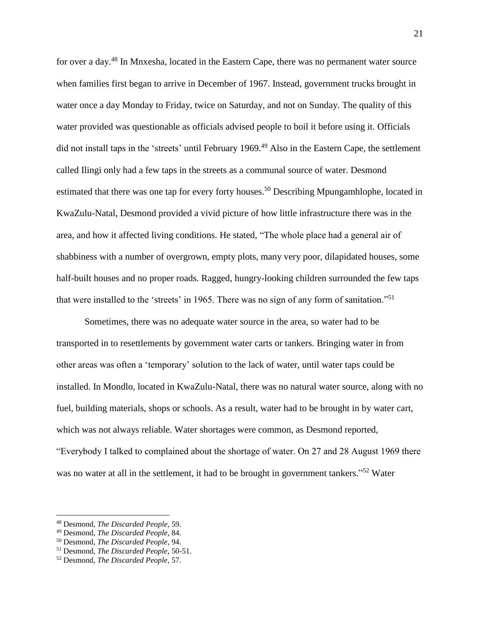for over a day.<sup>48</sup> In Mnxesha, located in the Eastern Cape, there was no permanent water source when families first began to arrive in December of 1967. Instead, government trucks brought in water once a day Monday to Friday, twice on Saturday, and not on Sunday. The quality of this water provided was questionable as officials advised people to boil it before using it. Officials did not install taps in the 'streets' until February 1969.<sup>49</sup> Also in the Eastern Cape, the settlement called Ilingi only had a few taps in the streets as a communal source of water. Desmond estimated that there was one tap for every forty houses.<sup>50</sup> Describing Mpungamhlophe, located in KwaZulu-Natal, Desmond provided a vivid picture of how little infrastructure there was in the area, and how it affected living conditions. He stated, "The whole place had a general air of shabbiness with a number of overgrown, empty plots, many very poor, dilapidated houses, some half-built houses and no proper roads. Ragged, hungry-looking children surrounded the few taps that were installed to the 'streets' in 1965. There was no sign of any form of sanitation."<sup>51</sup>

Sometimes, there was no adequate water source in the area, so water had to be transported in to resettlements by government water carts or tankers. Bringing water in from other areas was often a 'temporary' solution to the lack of water, until water taps could be installed. In Mondlo, located in KwaZulu-Natal, there was no natural water source, along with no fuel, building materials, shops or schools. As a result, water had to be brought in by water cart, which was not always reliable. Water shortages were common, as Desmond reported, "Everybody I talked to complained about the shortage of water. On 27 and 28 August 1969 there was no water at all in the settlement, it had to be brought in government tankers."<sup>52</sup> Water

 $\overline{a}$ 

<sup>48</sup> Desmond, *The Discarded People*, 59.

<sup>49</sup> Desmond, *The Discarded People*, 84.

<sup>50</sup> Desmond, *The Discarded People*, 94.

<sup>51</sup> Desmond, *The Discarded People*, 50-51.

<sup>52</sup> Desmond, *The Discarded People*, 57.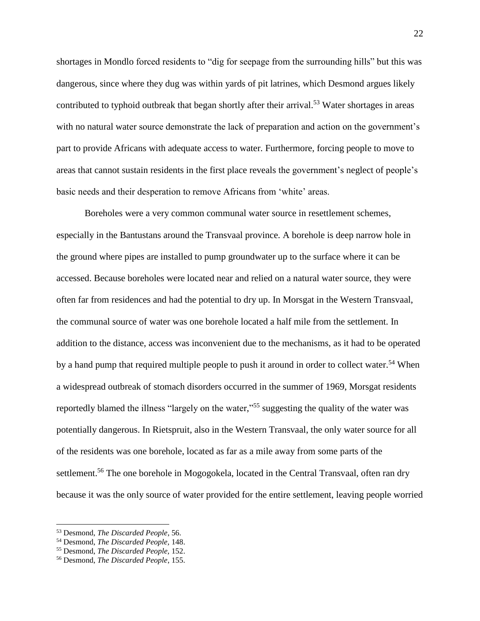shortages in Mondlo forced residents to "dig for seepage from the surrounding hills" but this was dangerous, since where they dug was within yards of pit latrines, which Desmond argues likely contributed to typhoid outbreak that began shortly after their arrival.<sup>53</sup> Water shortages in areas with no natural water source demonstrate the lack of preparation and action on the government's part to provide Africans with adequate access to water. Furthermore, forcing people to move to areas that cannot sustain residents in the first place reveals the government's neglect of people's basic needs and their desperation to remove Africans from 'white' areas.

Boreholes were a very common communal water source in resettlement schemes, especially in the Bantustans around the Transvaal province. A borehole is deep narrow hole in the ground where pipes are installed to pump groundwater up to the surface where it can be accessed. Because boreholes were located near and relied on a natural water source, they were often far from residences and had the potential to dry up. In Morsgat in the Western Transvaal, the communal source of water was one borehole located a half mile from the settlement. In addition to the distance, access was inconvenient due to the mechanisms, as it had to be operated by a hand pump that required multiple people to push it around in order to collect water.<sup>54</sup> When a widespread outbreak of stomach disorders occurred in the summer of 1969, Morsgat residents reportedly blamed the illness "largely on the water,"<sup>55</sup> suggesting the quality of the water was potentially dangerous. In Rietspruit, also in the Western Transvaal, the only water source for all of the residents was one borehole, located as far as a mile away from some parts of the settlement.<sup>56</sup> The one borehole in Mogogokela, located in the Central Transvaal, often ran dry because it was the only source of water provided for the entire settlement, leaving people worried

<sup>53</sup> Desmond, *The Discarded People*, 56.

<sup>54</sup> Desmond, *The Discarded People,* 148.

<sup>55</sup> Desmond, *The Discarded People,* 152.

<sup>56</sup> Desmond, *The Discarded People*, 155.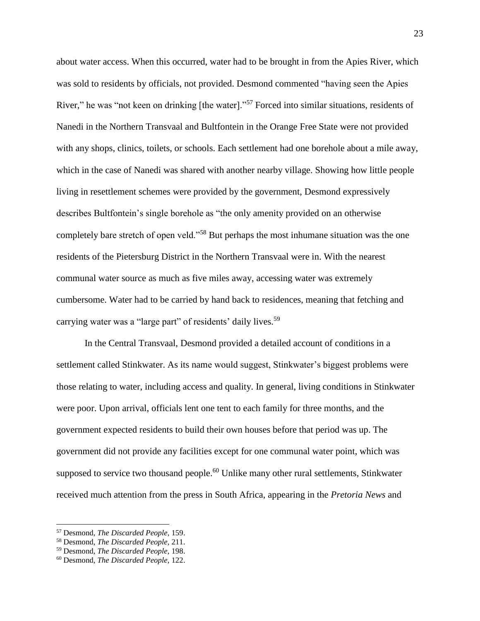about water access. When this occurred, water had to be brought in from the Apies River, which was sold to residents by officials, not provided. Desmond commented "having seen the Apies River," he was "not keen on drinking [the water]."<sup>57</sup> Forced into similar situations, residents of Nanedi in the Northern Transvaal and Bultfontein in the Orange Free State were not provided with any shops, clinics, toilets, or schools. Each settlement had one borehole about a mile away, which in the case of Nanedi was shared with another nearby village. Showing how little people living in resettlement schemes were provided by the government, Desmond expressively describes Bultfontein's single borehole as "the only amenity provided on an otherwise completely bare stretch of open veld."<sup>58</sup> But perhaps the most inhumane situation was the one residents of the Pietersburg District in the Northern Transvaal were in. With the nearest communal water source as much as five miles away, accessing water was extremely cumbersome. Water had to be carried by hand back to residences, meaning that fetching and carrying water was a "large part" of residents' daily lives.<sup>59</sup>

In the Central Transvaal, Desmond provided a detailed account of conditions in a settlement called Stinkwater. As its name would suggest, Stinkwater's biggest problems were those relating to water, including access and quality. In general, living conditions in Stinkwater were poor. Upon arrival, officials lent one tent to each family for three months, and the government expected residents to build their own houses before that period was up. The government did not provide any facilities except for one communal water point, which was supposed to service two thousand people.<sup>60</sup> Unlike many other rural settlements, Stinkwater received much attention from the press in South Africa, appearing in the *Pretoria News* and

<sup>57</sup> Desmond, *The Discarded People,* 159.

<sup>58</sup> Desmond, *The Discarded People,* 211.

<sup>59</sup> Desmond, *The Discarded People,* 198.

<sup>60</sup> Desmond, *The Discarded People,* 122.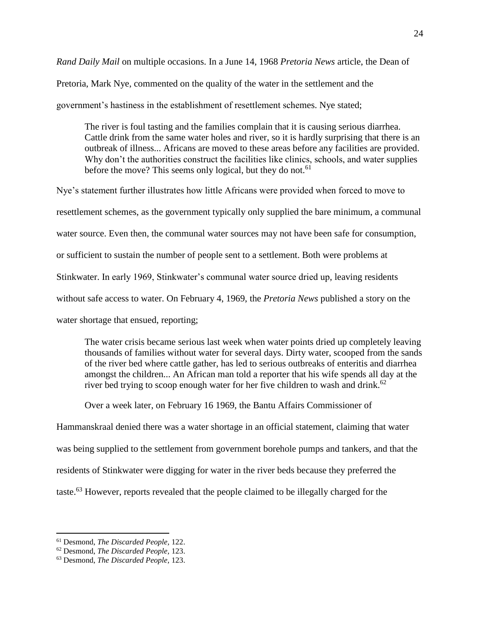*Rand Daily Mail* on multiple occasions. In a June 14, 1968 *Pretoria News* article, the Dean of

Pretoria, Mark Nye, commented on the quality of the water in the settlement and the

government's hastiness in the establishment of resettlement schemes. Nye stated;

The river is foul tasting and the families complain that it is causing serious diarrhea. Cattle drink from the same water holes and river, so it is hardly surprising that there is an outbreak of illness... Africans are moved to these areas before any facilities are provided. Why don't the authorities construct the facilities like clinics, schools, and water supplies before the move? This seems only logical, but they do not.<sup>61</sup>

Nye's statement further illustrates how little Africans were provided when forced to move to resettlement schemes, as the government typically only supplied the bare minimum, a communal water source. Even then, the communal water sources may not have been safe for consumption, or sufficient to sustain the number of people sent to a settlement. Both were problems at Stinkwater. In early 1969, Stinkwater's communal water source dried up, leaving residents without safe access to water. On February 4, 1969, the *Pretoria News* published a story on the water shortage that ensued, reporting;

The water crisis became serious last week when water points dried up completely leaving thousands of families without water for several days. Dirty water, scooped from the sands of the river bed where cattle gather, has led to serious outbreaks of enteritis and diarrhea amongst the children... An African man told a reporter that his wife spends all day at the river bed trying to scoop enough water for her five children to wash and drink.<sup>62</sup>

Over a week later, on February 16 1969, the Bantu Affairs Commissioner of

Hammanskraal denied there was a water shortage in an official statement, claiming that water was being supplied to the settlement from government borehole pumps and tankers, and that the residents of Stinkwater were digging for water in the river beds because they preferred the taste.<sup>63</sup> However, reports revealed that the people claimed to be illegally charged for the

<sup>61</sup> Desmond, *The Discarded People,* 122.

<sup>62</sup> Desmond, *The Discarded People,* 123.

<sup>63</sup> Desmond, *The Discarded People,* 123.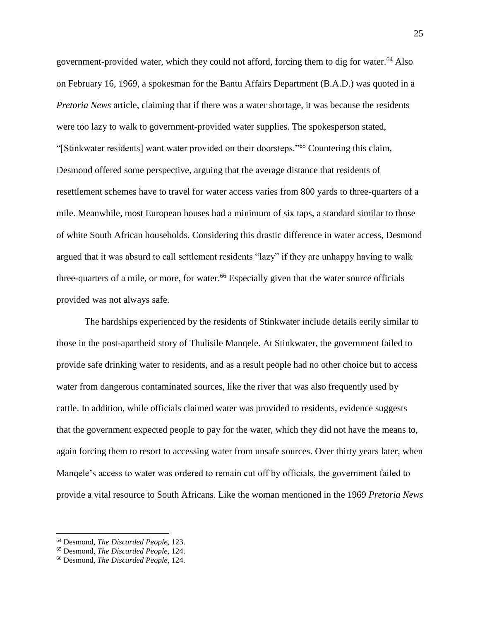government-provided water, which they could not afford, forcing them to dig for water.<sup>64</sup> Also on February 16, 1969, a spokesman for the Bantu Affairs Department (B.A.D.) was quoted in a *Pretoria News* article, claiming that if there was a water shortage, it was because the residents were too lazy to walk to government-provided water supplies. The spokesperson stated, "[Stinkwater residents] want water provided on their doorsteps."<sup>65</sup> Countering this claim, Desmond offered some perspective, arguing that the average distance that residents of resettlement schemes have to travel for water access varies from 800 yards to three-quarters of a mile. Meanwhile, most European houses had a minimum of six taps, a standard similar to those of white South African households. Considering this drastic difference in water access, Desmond argued that it was absurd to call settlement residents "lazy" if they are unhappy having to walk three-quarters of a mile, or more, for water.<sup>66</sup> Especially given that the water source officials provided was not always safe.

The hardships experienced by the residents of Stinkwater include details eerily similar to those in the post-apartheid story of Thulisile Manqele. At Stinkwater, the government failed to provide safe drinking water to residents, and as a result people had no other choice but to access water from dangerous contaminated sources, like the river that was also frequently used by cattle. In addition, while officials claimed water was provided to residents, evidence suggests that the government expected people to pay for the water, which they did not have the means to, again forcing them to resort to accessing water from unsafe sources. Over thirty years later, when Manqele's access to water was ordered to remain cut off by officials, the government failed to provide a vital resource to South Africans. Like the woman mentioned in the 1969 *Pretoria News*

<sup>64</sup> Desmond, *The Discarded People,* 123.

<sup>65</sup> Desmond, *The Discarded People,* 124.

<sup>66</sup> Desmond, *The Discarded People,* 124.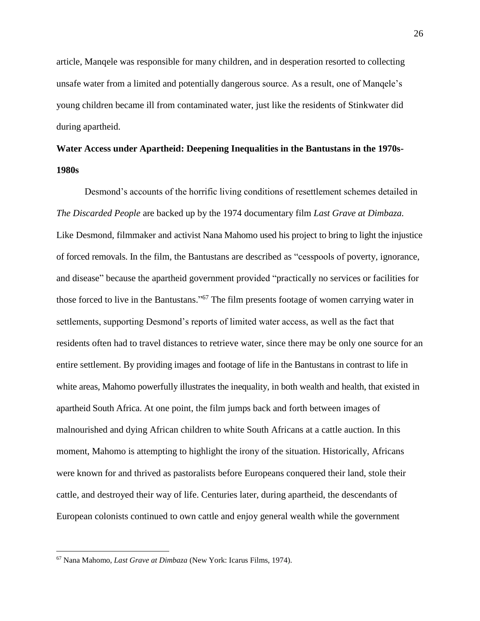article, Manqele was responsible for many children, and in desperation resorted to collecting unsafe water from a limited and potentially dangerous source. As a result, one of Manqele's young children became ill from contaminated water, just like the residents of Stinkwater did during apartheid.

# **Water Access under Apartheid: Deepening Inequalities in the Bantustans in the 1970s-1980s**

Desmond's accounts of the horrific living conditions of resettlement schemes detailed in *The Discarded People* are backed up by the 1974 documentary film *Last Grave at Dimbaza.* Like Desmond, filmmaker and activist Nana Mahomo used his project to bring to light the injustice of forced removals. In the film, the Bantustans are described as "cesspools of poverty, ignorance, and disease" because the apartheid government provided "practically no services or facilities for those forced to live in the Bantustans."<sup>67</sup> The film presents footage of women carrying water in settlements, supporting Desmond's reports of limited water access, as well as the fact that residents often had to travel distances to retrieve water, since there may be only one source for an entire settlement. By providing images and footage of life in the Bantustans in contrast to life in white areas, Mahomo powerfully illustrates the inequality, in both wealth and health, that existed in apartheid South Africa. At one point, the film jumps back and forth between images of malnourished and dying African children to white South Africans at a cattle auction. In this moment, Mahomo is attempting to highlight the irony of the situation. Historically, Africans were known for and thrived as pastoralists before Europeans conquered their land, stole their cattle, and destroyed their way of life. Centuries later, during apartheid, the descendants of European colonists continued to own cattle and enjoy general wealth while the government

<sup>67</sup> Nana Mahomo, *Last Grave at Dimbaza* (New York: Icarus Films, 1974).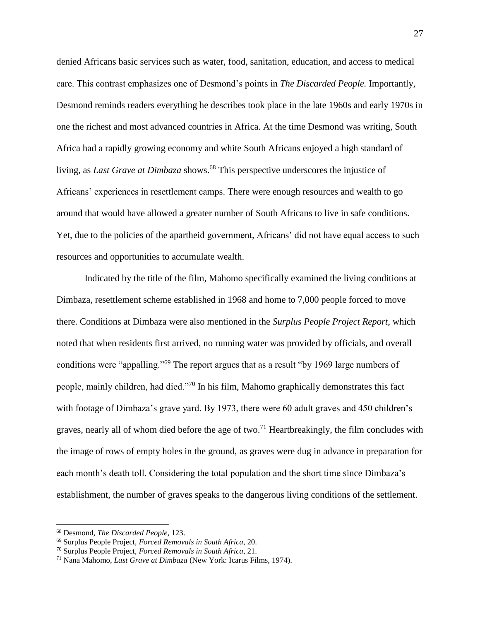denied Africans basic services such as water, food, sanitation, education, and access to medical care. This contrast emphasizes one of Desmond's points in *The Discarded People.* Importantly, Desmond reminds readers everything he describes took place in the late 1960s and early 1970s in one the richest and most advanced countries in Africa. At the time Desmond was writing, South Africa had a rapidly growing economy and white South Africans enjoyed a high standard of living, as *Last Grave at Dimbaza* shows.<sup>68</sup> This perspective underscores the injustice of Africans' experiences in resettlement camps. There were enough resources and wealth to go around that would have allowed a greater number of South Africans to live in safe conditions. Yet, due to the policies of the apartheid government, Africans' did not have equal access to such resources and opportunities to accumulate wealth.

Indicated by the title of the film, Mahomo specifically examined the living conditions at Dimbaza, resettlement scheme established in 1968 and home to 7,000 people forced to move there. Conditions at Dimbaza were also mentioned in the *Surplus People Project Report*, which noted that when residents first arrived, no running water was provided by officials, and overall conditions were "appalling."<sup>69</sup> The report argues that as a result "by 1969 large numbers of people, mainly children, had died."<sup>70</sup> In his film, Mahomo graphically demonstrates this fact with footage of Dimbaza's grave yard. By 1973, there were 60 adult graves and 450 children's graves, nearly all of whom died before the age of two.<sup>71</sup> Heartbreakingly, the film concludes with the image of rows of empty holes in the ground, as graves were dug in advance in preparation for each month's death toll. Considering the total population and the short time since Dimbaza's establishment, the number of graves speaks to the dangerous living conditions of the settlement.

<sup>68</sup> Desmond, *The Discarded People,* 123.

<sup>69</sup> Surplus People Project, *Forced Removals in South Africa*, 20.

<sup>70</sup> Surplus People Project, *Forced Removals in South Africa*, 21.

<sup>71</sup> Nana Mahomo, *Last Grave at Dimbaza* (New York: Icarus Films, 1974).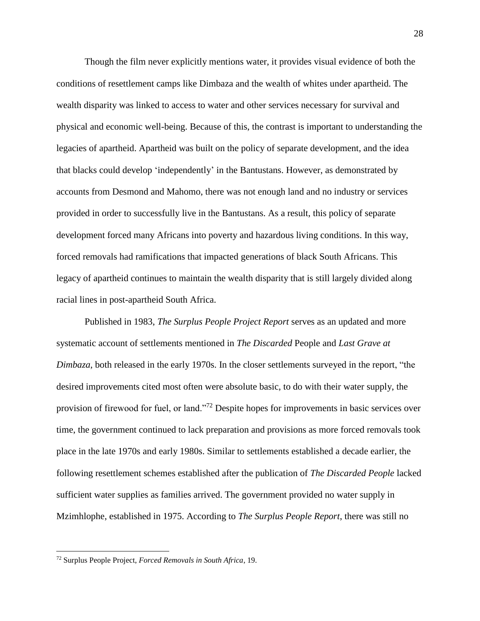Though the film never explicitly mentions water, it provides visual evidence of both the conditions of resettlement camps like Dimbaza and the wealth of whites under apartheid. The wealth disparity was linked to access to water and other services necessary for survival and physical and economic well-being. Because of this, the contrast is important to understanding the legacies of apartheid. Apartheid was built on the policy of separate development, and the idea that blacks could develop 'independently' in the Bantustans. However, as demonstrated by accounts from Desmond and Mahomo, there was not enough land and no industry or services provided in order to successfully live in the Bantustans. As a result, this policy of separate development forced many Africans into poverty and hazardous living conditions. In this way, forced removals had ramifications that impacted generations of black South Africans. This legacy of apartheid continues to maintain the wealth disparity that is still largely divided along racial lines in post-apartheid South Africa.

Published in 1983, *The Surplus People Project Report* serves as an updated and more systematic account of settlements mentioned in *The Discarded* People and *Last Grave at Dimbaza*, both released in the early 1970s. In the closer settlements surveyed in the report, "the desired improvements cited most often were absolute basic, to do with their water supply, the provision of firewood for fuel, or land."<sup>72</sup> Despite hopes for improvements in basic services over time, the government continued to lack preparation and provisions as more forced removals took place in the late 1970s and early 1980s. Similar to settlements established a decade earlier, the following resettlement schemes established after the publication of *The Discarded People* lacked sufficient water supplies as families arrived. The government provided no water supply in Mzimhlophe, established in 1975. According to *The Surplus People Report*, there was still no

<sup>72</sup> Surplus People Project, *Forced Removals in South Africa*, 19.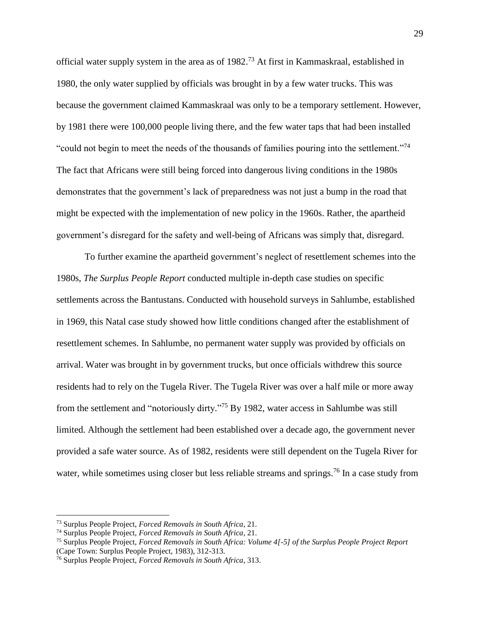official water supply system in the area as of 1982.<sup>73</sup> At first in Kammaskraal, established in 1980, the only water supplied by officials was brought in by a few water trucks. This was because the government claimed Kammaskraal was only to be a temporary settlement. However, by 1981 there were 100,000 people living there, and the few water taps that had been installed "could not begin to meet the needs of the thousands of families pouring into the settlement."<sup>74</sup> The fact that Africans were still being forced into dangerous living conditions in the 1980s demonstrates that the government's lack of preparedness was not just a bump in the road that might be expected with the implementation of new policy in the 1960s. Rather, the apartheid government's disregard for the safety and well-being of Africans was simply that, disregard.

To further examine the apartheid government's neglect of resettlement schemes into the 1980s, *The Surplus People Report* conducted multiple in-depth case studies on specific settlements across the Bantustans. Conducted with household surveys in Sahlumbe, established in 1969, this Natal case study showed how little conditions changed after the establishment of resettlement schemes. In Sahlumbe, no permanent water supply was provided by officials on arrival. Water was brought in by government trucks, but once officials withdrew this source residents had to rely on the Tugela River. The Tugela River was over a half mile or more away from the settlement and "notoriously dirty."<sup>75</sup> By 1982, water access in Sahlumbe was still limited. Although the settlement had been established over a decade ago, the government never provided a safe water source. As of 1982, residents were still dependent on the Tugela River for water, while sometimes using closer but less reliable streams and springs.<sup>76</sup> In a case study from

 $\overline{a}$ 

<sup>73</sup> Surplus People Project, *Forced Removals in South Africa*, 21.

<sup>74</sup> Surplus People Project, *Forced Removals in South Africa*, 21.

<sup>75</sup> Surplus People Project, *Forced Removals in South Africa: Volume 4[-5] of the Surplus People Project Report* (Cape Town: Surplus People Project, 1983), 312-313.

<sup>76</sup> Surplus People Project, *Forced Removals in South Africa*, 313.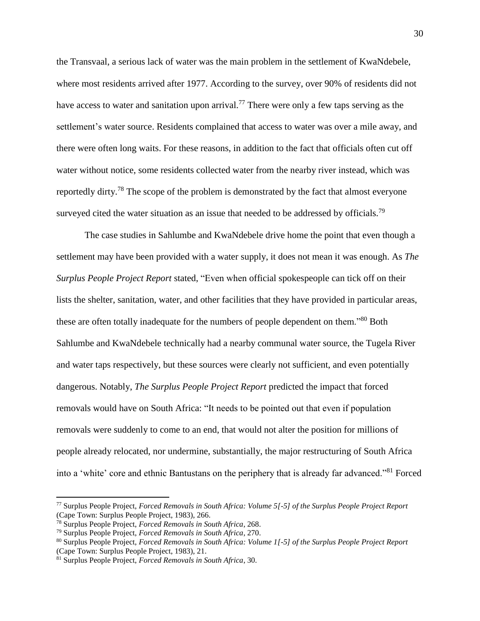the Transvaal, a serious lack of water was the main problem in the settlement of KwaNdebele, where most residents arrived after 1977. According to the survey, over 90% of residents did not have access to water and sanitation upon arrival.<sup>77</sup> There were only a few taps serving as the settlement's water source. Residents complained that access to water was over a mile away, and there were often long waits. For these reasons, in addition to the fact that officials often cut off water without notice, some residents collected water from the nearby river instead, which was reportedly dirty.<sup>78</sup> The scope of the problem is demonstrated by the fact that almost everyone surveyed cited the water situation as an issue that needed to be addressed by officials.<sup>79</sup>

The case studies in Sahlumbe and KwaNdebele drive home the point that even though a settlement may have been provided with a water supply, it does not mean it was enough. As *The Surplus People Project Report* stated, "Even when official spokespeople can tick off on their lists the shelter, sanitation, water, and other facilities that they have provided in particular areas, these are often totally inadequate for the numbers of people dependent on them."<sup>80</sup> Both Sahlumbe and KwaNdebele technically had a nearby communal water source, the Tugela River and water taps respectively, but these sources were clearly not sufficient, and even potentially dangerous. Notably, *The Surplus People Project Report* predicted the impact that forced removals would have on South Africa: "It needs to be pointed out that even if population removals were suddenly to come to an end, that would not alter the position for millions of people already relocated, nor undermine, substantially, the major restructuring of South Africa into a 'white' core and ethnic Bantustans on the periphery that is already far advanced."<sup>81</sup> Forced

<sup>77</sup> Surplus People Project, *Forced Removals in South Africa: Volume 5[-5] of the Surplus People Project Report* (Cape Town: Surplus People Project, 1983), 266.

<sup>78</sup> Surplus People Project, *Forced Removals in South Africa*, 268.

<sup>79</sup> Surplus People Project, *Forced Removals in South Africa*, 270.

<sup>80</sup> Surplus People Project, *Forced Removals in South Africa: Volume 1[-5] of the Surplus People Project Report* (Cape Town: Surplus People Project, 1983), 21.

<sup>81</sup> Surplus People Project, *Forced Removals in South Africa*, 30.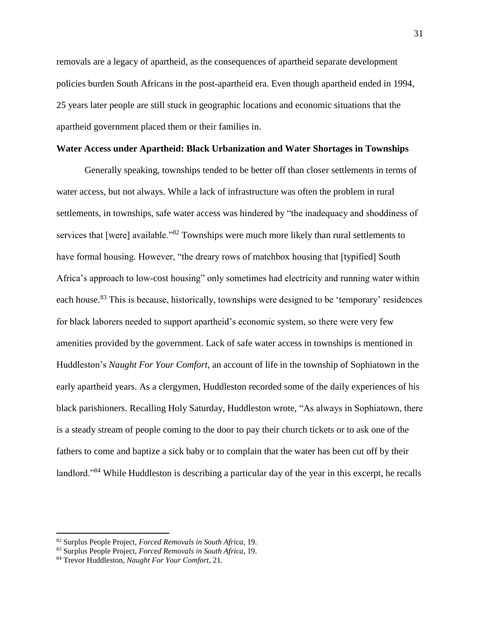removals are a legacy of apartheid, as the consequences of apartheid separate development policies burden South Africans in the post-apartheid era. Even though apartheid ended in 1994, 25 years later people are still stuck in geographic locations and economic situations that the apartheid government placed them or their families in.

#### **Water Access under Apartheid: Black Urbanization and Water Shortages in Townships**

Generally speaking, townships tended to be better off than closer settlements in terms of water access, but not always. While a lack of infrastructure was often the problem in rural settlements, in townships, safe water access was hindered by "the inadequacy and shoddiness of services that [were] available."<sup>82</sup> Townships were much more likely than rural settlements to have formal housing. However, "the dreary rows of matchbox housing that [typified] South Africa's approach to low-cost housing" only sometimes had electricity and running water within each house.<sup>83</sup> This is because, historically, townships were designed to be 'temporary' residences for black laborers needed to support apartheid's economic system, so there were very few amenities provided by the government. Lack of safe water access in townships is mentioned in Huddleston's *Naught For Your Comfort*, an account of life in the township of Sophiatown in the early apartheid years. As a clergymen, Huddleston recorded some of the daily experiences of his black parishioners. Recalling Holy Saturday, Huddleston wrote, "As always in Sophiatown, there is a steady stream of people coming to the door to pay their church tickets or to ask one of the fathers to come and baptize a sick baby or to complain that the water has been cut off by their landlord."<sup>84</sup> While Huddleston is describing a particular day of the year in this excerpt, he recalls

<sup>82</sup> Surplus People Project, *Forced Removals in South Africa*, 19.

<sup>83</sup> Surplus People Project, *Forced Removals in South Africa*, 19.

<sup>84</sup> Trevor Huddleston, *Naught For Your Comfort*, 21.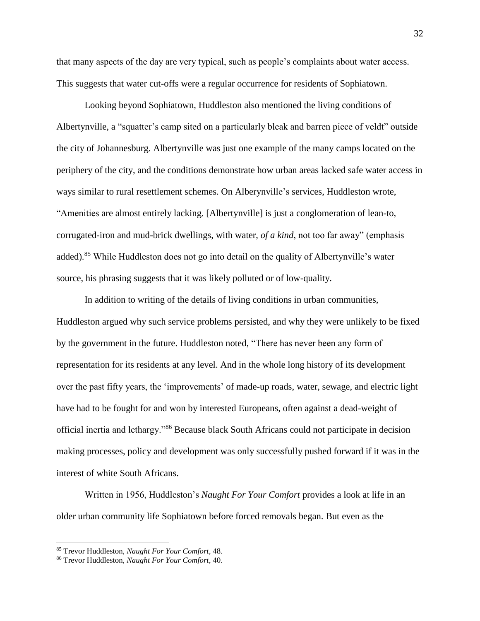that many aspects of the day are very typical, such as people's complaints about water access. This suggests that water cut-offs were a regular occurrence for residents of Sophiatown.

Looking beyond Sophiatown, Huddleston also mentioned the living conditions of Albertynville, a "squatter's camp sited on a particularly bleak and barren piece of veldt" outside the city of Johannesburg. Albertynville was just one example of the many camps located on the periphery of the city, and the conditions demonstrate how urban areas lacked safe water access in ways similar to rural resettlement schemes. On Alberynville's services, Huddleston wrote, "Amenities are almost entirely lacking. [Albertynville] is just a conglomeration of lean-to, corrugated-iron and mud-brick dwellings, with water, *of a kind*, not too far away" (emphasis added).<sup>85</sup> While Huddleston does not go into detail on the quality of Albertynville's water source, his phrasing suggests that it was likely polluted or of low-quality.

In addition to writing of the details of living conditions in urban communities, Huddleston argued why such service problems persisted, and why they were unlikely to be fixed by the government in the future. Huddleston noted, "There has never been any form of representation for its residents at any level. And in the whole long history of its development over the past fifty years, the 'improvements' of made-up roads, water, sewage, and electric light have had to be fought for and won by interested Europeans, often against a dead-weight of official inertia and lethargy."<sup>86</sup> Because black South Africans could not participate in decision making processes, policy and development was only successfully pushed forward if it was in the interest of white South Africans.

Written in 1956, Huddleston's *Naught For Your Comfort* provides a look at life in an older urban community life Sophiatown before forced removals began. But even as the

<sup>85</sup> Trevor Huddleston, *Naught For Your Comfort*, 48.

<sup>86</sup> Trevor Huddleston, *Naught For Your Comfort*, 40.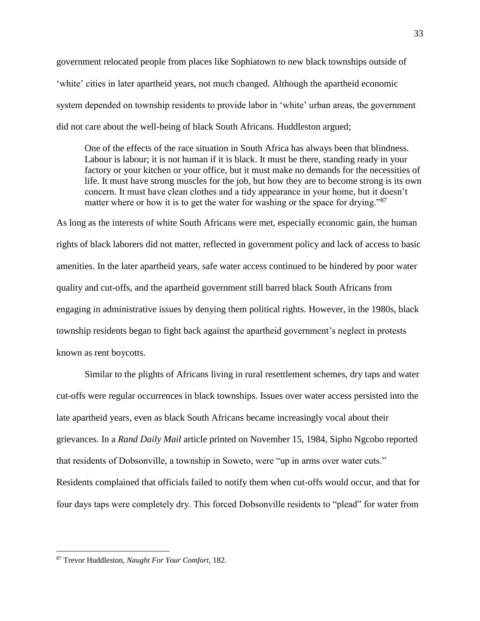government relocated people from places like Sophiatown to new black townships outside of 'white' cities in later apartheid years, not much changed. Although the apartheid economic system depended on township residents to provide labor in 'white' urban areas, the government did not care about the well-being of black South Africans. Huddleston argued;

One of the effects of the race situation in South Africa has always been that blindness. Labour is labour; it is not human if it is black. It must be there, standing ready in your factory or your kitchen or your office, but it must make no demands for the necessities of life. It must have strong muscles for the job, but how they are to become strong is its own concern. It must have clean clothes and a tidy appearance in your home, but it doesn't matter where or how it is to get the water for washing or the space for drying."<sup>87</sup>

As long as the interests of white South Africans were met, especially economic gain, the human rights of black laborers did not matter, reflected in government policy and lack of access to basic amenities. In the later apartheid years, safe water access continued to be hindered by poor water quality and cut-offs, and the apartheid government still barred black South Africans from engaging in administrative issues by denying them political rights. However, in the 1980s, black township residents began to fight back against the apartheid government's neglect in protests known as rent boycotts.

Similar to the plights of Africans living in rural resettlement schemes, dry taps and water cut-offs were regular occurrences in black townships. Issues over water access persisted into the late apartheid years, even as black South Africans became increasingly vocal about their grievances. In a *Rand Daily Mail* article printed on November 15, 1984, Sipho Ngcobo reported that residents of Dobsonville, a township in Soweto, were "up in arms over water cuts." Residents complained that officials failed to notify them when cut-offs would occur, and that for four days taps were completely dry. This forced Dobsonville residents to "plead" for water from

<sup>87</sup> Trevor Huddleston, *Naught For Your Comfort*, 182.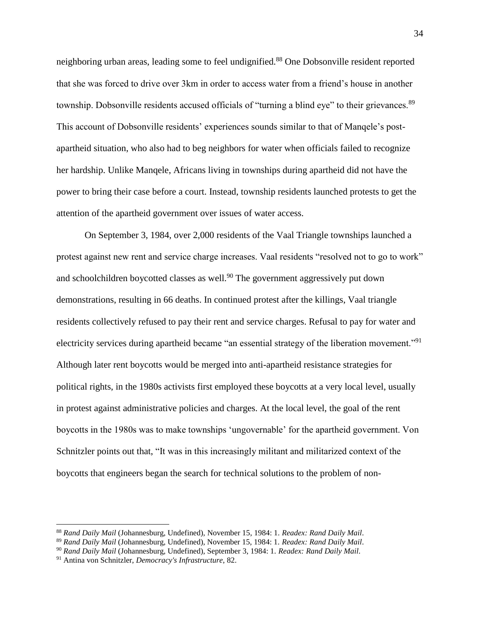neighboring urban areas, leading some to feel undignified.<sup>88</sup> One Dobsonville resident reported that she was forced to drive over 3km in order to access water from a friend's house in another township. Dobsonville residents accused officials of "turning a blind eye" to their grievances.<sup>89</sup> This account of Dobsonville residents' experiences sounds similar to that of Manqele's postapartheid situation, who also had to beg neighbors for water when officials failed to recognize her hardship. Unlike Manqele, Africans living in townships during apartheid did not have the power to bring their case before a court. Instead, township residents launched protests to get the attention of the apartheid government over issues of water access.

On September 3, 1984, over 2,000 residents of the Vaal Triangle townships launched a protest against new rent and service charge increases. Vaal residents "resolved not to go to work" and schoolchildren boycotted classes as well.<sup>90</sup> The government aggressively put down demonstrations, resulting in 66 deaths. In continued protest after the killings, Vaal triangle residents collectively refused to pay their rent and service charges. Refusal to pay for water and electricity services during apartheid became "an essential strategy of the liberation movement."<sup>91</sup> Although later rent boycotts would be merged into anti-apartheid resistance strategies for political rights, in the 1980s activists first employed these boycotts at a very local level, usually in protest against administrative policies and charges. At the local level, the goal of the rent boycotts in the 1980s was to make townships 'ungovernable' for the apartheid government. Von Schnitzler points out that, "It was in this increasingly militant and militarized context of the boycotts that engineers began the search for technical solutions to the problem of non-

<sup>88</sup> *Rand Daily Mail* (Johannesburg, Undefined), November 15, 1984: 1. *Readex: Rand Daily Mail*.

<sup>89</sup> *Rand Daily Mail* (Johannesburg, Undefined), November 15, 1984: 1. *Readex: Rand Daily Mail*.

<sup>90</sup> *Rand Daily Mail* (Johannesburg, Undefined), September 3, 1984: 1. *Readex: Rand Daily Mail*.

<sup>91</sup> Antina von Schnitzler, *Democracy's Infrastructure*, 82.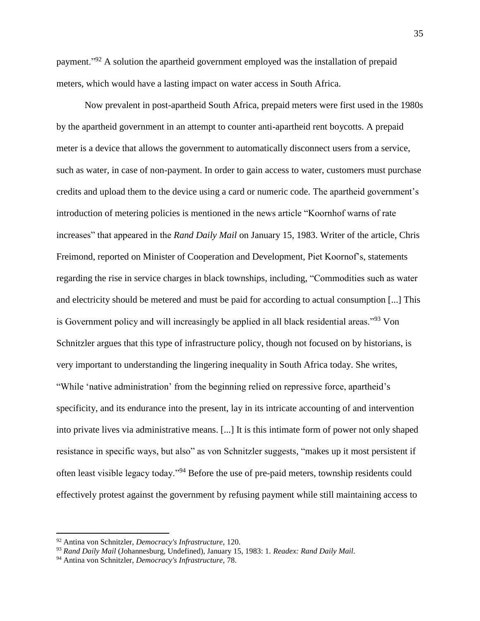payment."<sup>92</sup> A solution the apartheid government employed was the installation of prepaid meters, which would have a lasting impact on water access in South Africa.

Now prevalent in post-apartheid South Africa, prepaid meters were first used in the 1980s by the apartheid government in an attempt to counter anti-apartheid rent boycotts. A prepaid meter is a device that allows the government to automatically disconnect users from a service, such as water, in case of non-payment. In order to gain access to water, customers must purchase credits and upload them to the device using a card or numeric code. The apartheid government's introduction of metering policies is mentioned in the news article "Koornhof warns of rate increases" that appeared in the *Rand Daily Mail* on January 15, 1983. Writer of the article, Chris Freimond, reported on Minister of Cooperation and Development, Piet Koornof's, statements regarding the rise in service charges in black townships, including, "Commodities such as water and electricity should be metered and must be paid for according to actual consumption [...] This is Government policy and will increasingly be applied in all black residential areas."<sup>93</sup> Von Schnitzler argues that this type of infrastructure policy, though not focused on by historians, is very important to understanding the lingering inequality in South Africa today. She writes, "While 'native administration' from the beginning relied on repressive force, apartheid's specificity, and its endurance into the present, lay in its intricate accounting of and intervention into private lives via administrative means. [...] It is this intimate form of power not only shaped resistance in specific ways, but also" as von Schnitzler suggests, "makes up it most persistent if often least visible legacy today."<sup>94</sup> Before the use of pre-paid meters, township residents could effectively protest against the government by refusing payment while still maintaining access to

<sup>92</sup> Antina von Schnitzler, *Democracy's Infrastructure*, 120.

<sup>93</sup> *Rand Daily Mail* (Johannesburg, Undefined), January 15, 1983: 1. *Readex: Rand Daily Mail*.

<sup>94</sup> Antina von Schnitzler, *Democracy's Infrastructure*, 78.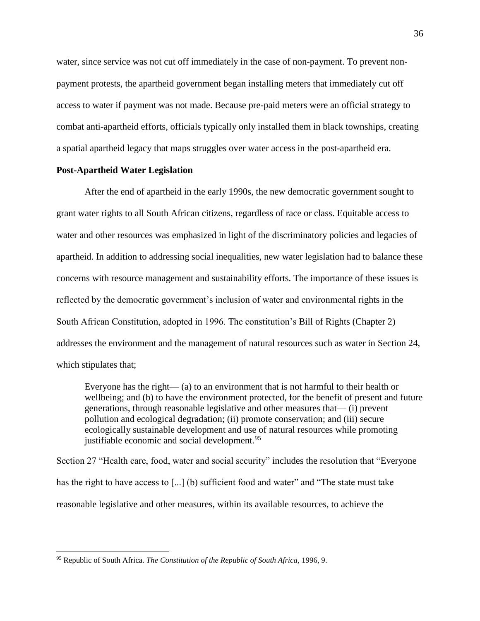water, since service was not cut off immediately in the case of non-payment. To prevent nonpayment protests, the apartheid government began installing meters that immediately cut off access to water if payment was not made. Because pre-paid meters were an official strategy to combat anti-apartheid efforts, officials typically only installed them in black townships, creating a spatial apartheid legacy that maps struggles over water access in the post-apartheid era.

#### **Post-Apartheid Water Legislation**

After the end of apartheid in the early 1990s, the new democratic government sought to grant water rights to all South African citizens, regardless of race or class. Equitable access to water and other resources was emphasized in light of the discriminatory policies and legacies of apartheid. In addition to addressing social inequalities, new water legislation had to balance these concerns with resource management and sustainability efforts. The importance of these issues is reflected by the democratic government's inclusion of water and environmental rights in the South African Constitution, adopted in 1996. The constitution's Bill of Rights (Chapter 2) addresses the environment and the management of natural resources such as water in Section 24, which stipulates that;

Everyone has the right— (a) to an environment that is not harmful to their health or wellbeing; and (b) to have the environment protected, for the benefit of present and future generations, through reasonable legislative and other measures that— (i) prevent pollution and ecological degradation; (ii) promote conservation; and (iii) secure ecologically sustainable development and use of natural resources while promoting justifiable economic and social development.<sup>95</sup>

Section 27 "Health care, food, water and social security" includes the resolution that "Everyone has the right to have access to [...] (b) sufficient food and water" and "The state must take reasonable legislative and other measures, within its available resources, to achieve the

<sup>95</sup> Republic of South Africa. *The Constitution of the Republic of South Africa,* 1996, 9.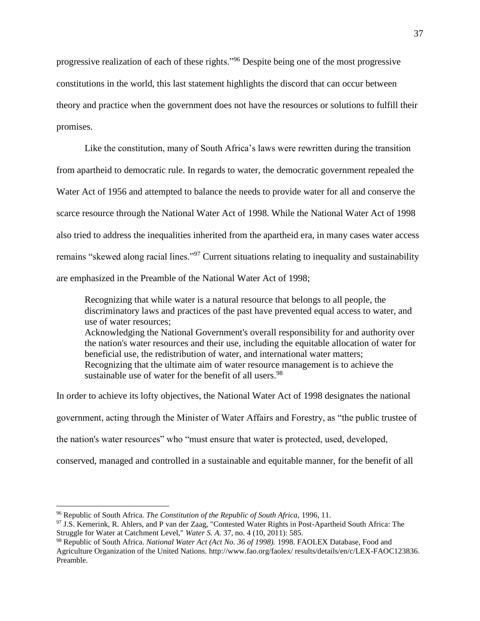progressive realization of each of these rights."<sup>96</sup> Despite being one of the most progressive constitutions in the world, this last statement highlights the discord that can occur between theory and practice when the government does not have the resources or solutions to fulfill their promises.

Like the constitution, many of South Africa's laws were rewritten during the transition from apartheid to democratic rule. In regards to water, the democratic government repealed the Water Act of 1956 and attempted to balance the needs to provide water for all and conserve the scarce resource through the National Water Act of 1998. While the National Water Act of 1998 also tried to address the inequalities inherited from the apartheid era, in many cases water access remains "skewed along racial lines."<sup>97</sup> Current situations relating to inequality and sustainability are emphasized in the Preamble of the National Water Act of 1998;

Recognizing that while water is a natural resource that belongs to all people, the discriminatory laws and practices of the past have prevented equal access to water, and use of water resources; Acknowledging the National Government's overall responsibility for and authority over the nation's water resources and their use, including the equitable allocation of water for beneficial use, the redistribution of water, and international water matters; Recognizing that the ultimate aim of water resource management is to achieve the sustainable use of water for the benefit of all users.<sup>98</sup>

In order to achieve its lofty objectives, the National Water Act of 1998 designates the national government, acting through the Minister of Water Affairs and Forestry, as "the public trustee of the nation's water resources" who "must ensure that water is protected, used, developed, conserved, managed and controlled in a sustainable and equitable manner, for the benefit of all

l

<sup>96</sup> Republic of South Africa. *The Constitution of the Republic of South Africa,* 1996, 11.

<sup>97</sup> J.S. Kemerink, R. Ahlers, and P van der Zaag, "Contested Water Rights in Post-Apartheid South Africa: The Struggle for Water at Catchment Level," *Water S. A.* 37, no. 4 (10, 2011): 585.

<sup>98</sup> Republic of South Africa. *National Water Act (Act No. 36 of 1998).* 1998. FAOLEX Database, Food and Agriculture Organization of the United Nations. [http://www.fao.org/faolex/ results/details/en/c/LEX-FAOC123836.](http://www.fao.org/faolex/%20results/details/en/c/LEX-FAOC123836) Preamble.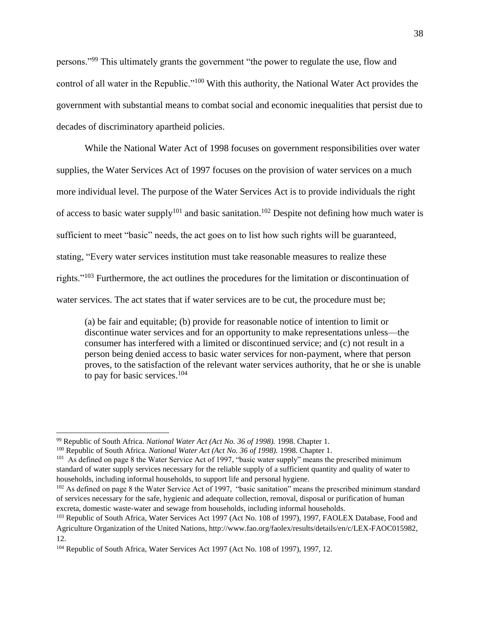persons."<sup>99</sup> This ultimately grants the government "the power to regulate the use, flow and control of all water in the Republic."<sup>100</sup> With this authority, the National Water Act provides the government with substantial means to combat social and economic inequalities that persist due to decades of discriminatory apartheid policies.

While the National Water Act of 1998 focuses on government responsibilities over water supplies, the Water Services Act of 1997 focuses on the provision of water services on a much more individual level. The purpose of the Water Services Act is to provide individuals the right of access to basic water supply<sup>101</sup> and basic sanitation.<sup>102</sup> Despite not defining how much water is sufficient to meet "basic" needs, the act goes on to list how such rights will be guaranteed, stating, "Every water services institution must take reasonable measures to realize these rights."<sup>103</sup> Furthermore, the act outlines the procedures for the limitation or discontinuation of water services. The act states that if water services are to be cut, the procedure must be;

(a) be fair and equitable; (b) provide for reasonable notice of intention to limit or discontinue water services and for an opportunity to make representations unless—the consumer has interfered with a limited or discontinued service; and (c) not result in a person being denied access to basic water services for non-payment, where that person proves, to the satisfaction of the relevant water services authority, that he or she is unable to pay for basic services.<sup>104</sup>

<sup>99</sup> Republic of South Africa. *National Water Act (Act No. 36 of 1998).* 1998. Chapter 1.

<sup>100</sup> Republic of South Africa. *National Water Act (Act No. 36 of 1998).* 1998. Chapter 1.

<sup>&</sup>lt;sup>101</sup> As defined on page 8 the Water Service Act of 1997, "basic water supply" means the prescribed minimum standard of water supply services necessary for the reliable supply of a sufficient quantity and quality of water to households, including informal households, to support life and personal hygiene.

<sup>&</sup>lt;sup>102</sup> As defined on page 8 the Water Service Act of 1997, "basic sanitation" means the prescribed minimum standard of services necessary for the safe, hygienic and adequate collection, removal, disposal or purification of human excreta, domestic waste-water and sewage from households, including informal households.

<sup>103</sup> Republic of South Africa, Water Services Act 1997 (Act No. 108 of 1997), 1997, FAOLEX Database, Food and Agriculture Organization of the United Nations, http://www.fao.org/faolex/results/details/en/c/LEX-FAOC015982, 12.

<sup>104</sup> Republic of South Africa, Water Services Act 1997 (Act No. 108 of 1997), 1997, 12.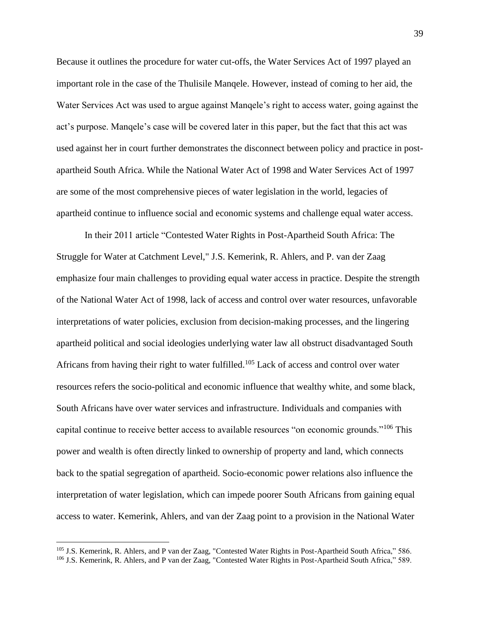Because it outlines the procedure for water cut-offs, the Water Services Act of 1997 played an important role in the case of the Thulisile Manqele. However, instead of coming to her aid, the Water Services Act was used to argue against Manqele's right to access water, going against the act's purpose. Manqele's case will be covered later in this paper, but the fact that this act was used against her in court further demonstrates the disconnect between policy and practice in postapartheid South Africa. While the National Water Act of 1998 and Water Services Act of 1997 are some of the most comprehensive pieces of water legislation in the world, legacies of apartheid continue to influence social and economic systems and challenge equal water access.

In their 2011 article "Contested Water Rights in Post-Apartheid South Africa: The Struggle for Water at Catchment Level," J.S. Kemerink, R. Ahlers, and P. van der Zaag emphasize four main challenges to providing equal water access in practice. Despite the strength of the National Water Act of 1998, lack of access and control over water resources, unfavorable interpretations of water policies, exclusion from decision-making processes, and the lingering apartheid political and social ideologies underlying water law all obstruct disadvantaged South Africans from having their right to water fulfilled.<sup>105</sup> Lack of access and control over water resources refers the socio-political and economic influence that wealthy white, and some black, South Africans have over water services and infrastructure. Individuals and companies with capital continue to receive better access to available resources "on economic grounds."<sup>106</sup> This power and wealth is often directly linked to ownership of property and land, which connects back to the spatial segregation of apartheid. Socio-economic power relations also influence the interpretation of water legislation, which can impede poorer South Africans from gaining equal access to water. Kemerink, Ahlers, and van der Zaag point to a provision in the National Water

 $\overline{\phantom{a}}$ 

39

<sup>&</sup>lt;sup>105</sup> J.S. Kemerink, R. Ahlers, and P van der Zaag, "Contested Water Rights in Post-Apartheid South Africa," 586. <sup>106</sup> J.S. Kemerink, R. Ahlers, and P van der Zaag, "Contested Water Rights in Post-Apartheid South Africa," 589.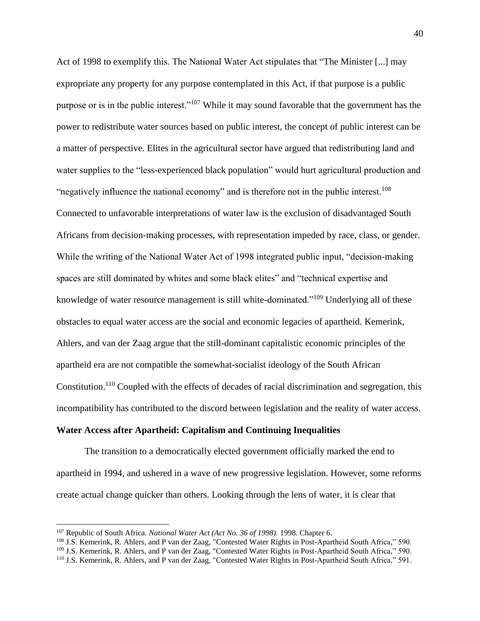Act of 1998 to exemplify this. The National Water Act stipulates that "The Minister [...] may expropriate any property for any purpose contemplated in this Act, if that purpose is a public purpose or is in the public interest."<sup>107</sup> While it may sound favorable that the government has the power to redistribute water sources based on public interest, the concept of public interest can be a matter of perspective. Elites in the agricultural sector have argued that redistributing land and water supplies to the "less-experienced black population" would hurt agricultural production and "negatively influence the national economy" and is therefore not in the public interest.<sup>108</sup> Connected to unfavorable interpretations of water law is the exclusion of disadvantaged South Africans from decision-making processes, with representation impeded by race, class, or gender. While the writing of the National Water Act of 1998 integrated public input, "decision-making spaces are still dominated by whites and some black elites" and "technical expertise and knowledge of water resource management is still white-dominated."<sup>109</sup> Underlying all of these obstacles to equal water access are the social and economic legacies of apartheid. Kemerink, Ahlers, and van der Zaag argue that the still-dominant capitalistic economic principles of the apartheid era are not compatible the somewhat-socialist ideology of the South African Constitution.<sup>110</sup> Coupled with the effects of decades of racial discrimination and segregation, this incompatibility has contributed to the discord between legislation and the reality of water access.

#### **Water Access after Apartheid: Capitalism and Continuing Inequalities**

The transition to a democratically elected government officially marked the end to apartheid in 1994, and ushered in a wave of new progressive legislation. However, some reforms create actual change quicker than others. Looking through the lens of water, it is clear that

<sup>107</sup> Republic of South Africa. *National Water Act (Act No. 36 of 1998).* 1998. Chapter 6.

<sup>&</sup>lt;sup>108</sup> J.S. Kemerink, R. Ahlers, and P van der Zaag, "Contested Water Rights in Post-Apartheid South Africa," 590.

<sup>109</sup> J.S. Kemerink, R. Ahlers, and P van der Zaag, "Contested Water Rights in Post-Apartheid South Africa," 590.

<sup>110</sup> J.S. Kemerink, R. Ahlers, and P van der Zaag, "Contested Water Rights in Post-Apartheid South Africa," 591.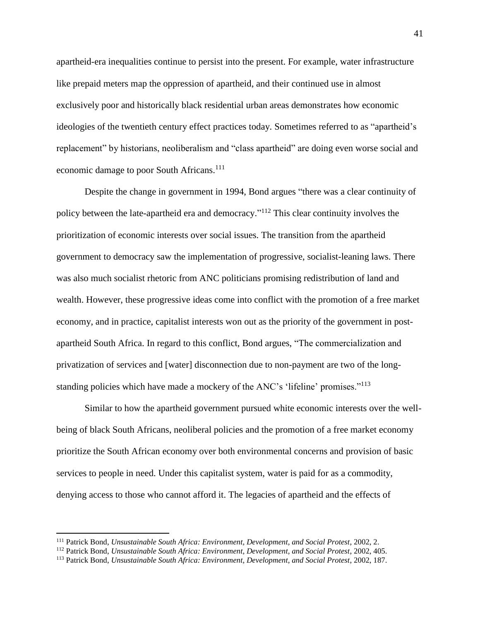apartheid-era inequalities continue to persist into the present. For example, water infrastructure like prepaid meters map the oppression of apartheid, and their continued use in almost exclusively poor and historically black residential urban areas demonstrates how economic ideologies of the twentieth century effect practices today. Sometimes referred to as "apartheid's replacement" by historians, neoliberalism and "class apartheid" are doing even worse social and economic damage to poor South Africans.<sup>111</sup>

Despite the change in government in 1994, Bond argues "there was a clear continuity of policy between the late-apartheid era and democracy."<sup>112</sup> This clear continuity involves the prioritization of economic interests over social issues. The transition from the apartheid government to democracy saw the implementation of progressive, socialist-leaning laws. There was also much socialist rhetoric from ANC politicians promising redistribution of land and wealth. However, these progressive ideas come into conflict with the promotion of a free market economy, and in practice, capitalist interests won out as the priority of the government in postapartheid South Africa. In regard to this conflict, Bond argues, "The commercialization and privatization of services and [water] disconnection due to non-payment are two of the longstanding policies which have made a mockery of the ANC's 'lifeline' promises."<sup>113</sup>

Similar to how the apartheid government pursued white economic interests over the wellbeing of black South Africans, neoliberal policies and the promotion of a free market economy prioritize the South African economy over both environmental concerns and provision of basic services to people in need. Under this capitalist system, water is paid for as a commodity, denying access to those who cannot afford it. The legacies of apartheid and the effects of

<sup>111</sup> Patrick Bond, *Unsustainable South Africa: Environment, Development, and Social Protest*, 2002, 2.

<sup>112</sup> Patrick Bond, *Unsustainable South Africa: Environment, Development, and Social Protest*, 2002, 405.

<sup>113</sup> Patrick Bond, *Unsustainable South Africa: Environment, Development, and Social Protest*, 2002, 187.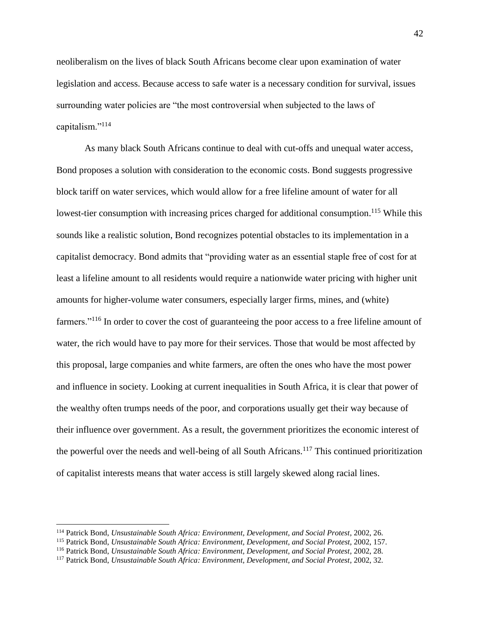neoliberalism on the lives of black South Africans become clear upon examination of water legislation and access. Because access to safe water is a necessary condition for survival, issues surrounding water policies are "the most controversial when subjected to the laws of capitalism."<sup>114</sup>

As many black South Africans continue to deal with cut-offs and unequal water access, Bond proposes a solution with consideration to the economic costs. Bond suggests progressive block tariff on water services, which would allow for a free lifeline amount of water for all lowest-tier consumption with increasing prices charged for additional consumption.<sup>115</sup> While this sounds like a realistic solution, Bond recognizes potential obstacles to its implementation in a capitalist democracy. Bond admits that "providing water as an essential staple free of cost for at least a lifeline amount to all residents would require a nationwide water pricing with higher unit amounts for higher-volume water consumers, especially larger firms, mines, and (white) farmers."<sup>116</sup> In order to cover the cost of guaranteeing the poor access to a free lifeline amount of water, the rich would have to pay more for their services. Those that would be most affected by this proposal, large companies and white farmers, are often the ones who have the most power and influence in society. Looking at current inequalities in South Africa, it is clear that power of the wealthy often trumps needs of the poor, and corporations usually get their way because of their influence over government. As a result, the government prioritizes the economic interest of the powerful over the needs and well-being of all South Africans.<sup>117</sup> This continued prioritization of capitalist interests means that water access is still largely skewed along racial lines.

<sup>114</sup> Patrick Bond, *Unsustainable South Africa: Environment, Development, and Social Protest*, 2002, 26.

<sup>115</sup> Patrick Bond, *Unsustainable South Africa: Environment, Development, and Social Protest*, 2002, 157.

<sup>116</sup> Patrick Bond, *Unsustainable South Africa: Environment, Development, and Social Protest*, 2002, 28.

<sup>117</sup> Patrick Bond, *Unsustainable South Africa: Environment, Development, and Social Protest*, 2002, 32.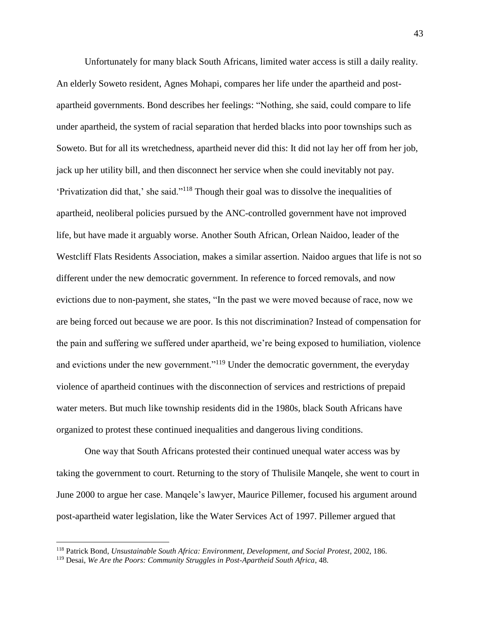Unfortunately for many black South Africans, limited water access is still a daily reality. An elderly Soweto resident, Agnes Mohapi, compares her life under the apartheid and postapartheid governments. Bond describes her feelings: "Nothing, she said, could compare to life under apartheid, the system of racial separation that herded blacks into poor townships such as Soweto. But for all its wretchedness, apartheid never did this: It did not lay her off from her job, jack up her utility bill, and then disconnect her service when she could inevitably not pay. 'Privatization did that,' she said."<sup>118</sup> Though their goal was to dissolve the inequalities of apartheid, neoliberal policies pursued by the ANC-controlled government have not improved life, but have made it arguably worse. Another South African, Orlean Naidoo, leader of the Westcliff Flats Residents Association, makes a similar assertion. Naidoo argues that life is not so different under the new democratic government. In reference to forced removals, and now evictions due to non-payment, she states, "In the past we were moved because of race, now we are being forced out because we are poor. Is this not discrimination? Instead of compensation for the pain and suffering we suffered under apartheid, we're being exposed to humiliation, violence and evictions under the new government."<sup>119</sup> Under the democratic government, the everyday violence of apartheid continues with the disconnection of services and restrictions of prepaid water meters. But much like township residents did in the 1980s, black South Africans have organized to protest these continued inequalities and dangerous living conditions.

One way that South Africans protested their continued unequal water access was by taking the government to court. Returning to the story of Thulisile Manqele, she went to court in June 2000 to argue her case. Manqele's lawyer, Maurice Pillemer, focused his argument around post-apartheid water legislation, like the Water Services Act of 1997. Pillemer argued that

<sup>118</sup> Patrick Bond, *Unsustainable South Africa: Environment, Development, and Social Protest*, 2002, 186.

<sup>119</sup> Desai, *We Are the Poors: Community Struggles in Post-Apartheid South Africa*, 48.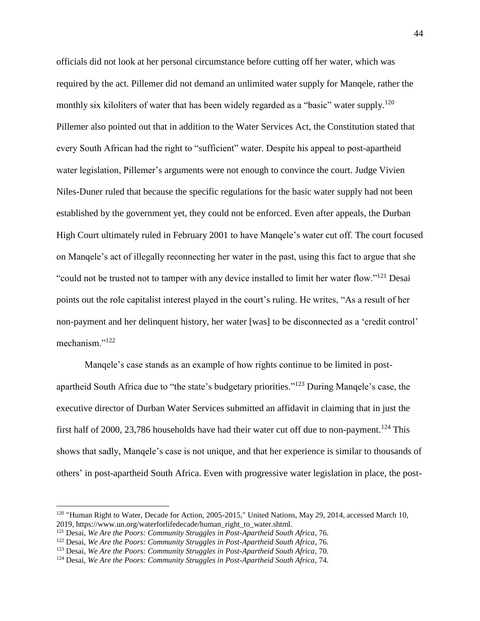officials did not look at her personal circumstance before cutting off her water, which was required by the act. Pillemer did not demand an unlimited water supply for Manqele, rather the monthly six kiloliters of water that has been widely regarded as a "basic" water supply.<sup>120</sup> Pillemer also pointed out that in addition to the Water Services Act, the Constitution stated that every South African had the right to "sufficient" water. Despite his appeal to post-apartheid water legislation, Pillemer's arguments were not enough to convince the court. Judge Vivien Niles-Duner ruled that because the specific regulations for the basic water supply had not been established by the government yet, they could not be enforced. Even after appeals, the Durban High Court ultimately ruled in February 2001 to have Manqele's water cut off. The court focused on Manqele's act of illegally reconnecting her water in the past, using this fact to argue that she "could not be trusted not to tamper with any device installed to limit her water flow."<sup>121</sup> Desai points out the role capitalist interest played in the court's ruling. He writes, "As a result of her non-payment and her delinquent history, her water [was] to be disconnected as a 'credit control' mechanism."<sup>122</sup>

Manqele's case stands as an example of how rights continue to be limited in postapartheid South Africa due to "the state's budgetary priorities."<sup>123</sup> During Manqele's case, the executive director of Durban Water Services submitted an affidavit in claiming that in just the first half of 2000, 23,786 households have had their water cut off due to non-payment.<sup>124</sup> This shows that sadly, Manqele's case is not unique, and that her experience is similar to thousands of others' in post-apartheid South Africa. Even with progressive water legislation in place, the post-

l

<sup>120</sup> "Human Right to Water, Decade for Action, 2005-2015," United Nations, May 29, 2014, accessed March 10, 2019, https://www.un.org/waterforlifedecade/human\_right\_to\_water.shtml.

<sup>121</sup> Desai, *We Are the Poors: Community Struggles in Post-Apartheid South Africa*, 76.

<sup>122</sup> Desai, *We Are the Poors: Community Struggles in Post-Apartheid South Africa*, 76.

<sup>123</sup> Desai, *We Are the Poors: Community Struggles in Post-Apartheid South Africa*, 70.

<sup>124</sup> Desai, *We Are the Poors: Community Struggles in Post-Apartheid South Africa*, 74.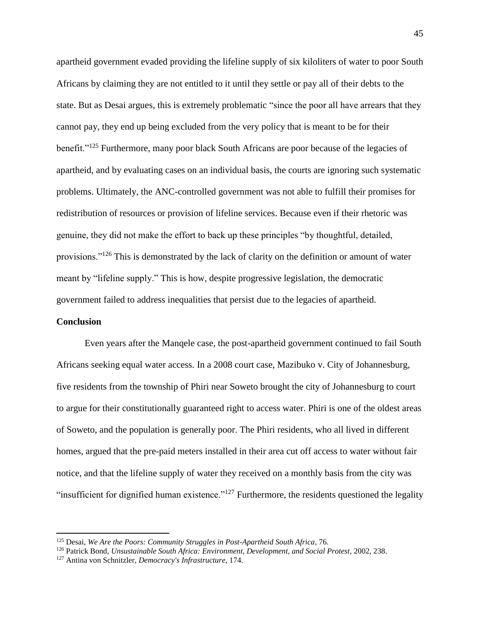apartheid government evaded providing the lifeline supply of six kiloliters of water to poor South Africans by claiming they are not entitled to it until they settle or pay all of their debts to the state. But as Desai argues, this is extremely problematic "since the poor all have arrears that they cannot pay, they end up being excluded from the very policy that is meant to be for their benefit."<sup>125</sup> Furthermore, many poor black South Africans are poor because of the legacies of apartheid, and by evaluating cases on an individual basis, the courts are ignoring such systematic problems. Ultimately, the ANC-controlled government was not able to fulfill their promises for redistribution of resources or provision of lifeline services. Because even if their rhetoric was genuine, they did not make the effort to back up these principles "by thoughtful, detailed, provisions."<sup>126</sup> This is demonstrated by the lack of clarity on the definition or amount of water meant by "lifeline supply." This is how, despite progressive legislation, the democratic government failed to address inequalities that persist due to the legacies of apartheid.

#### **Conclusion**

 $\overline{\phantom{a}}$ 

Even years after the Manqele case, the post-apartheid government continued to fail South Africans seeking equal water access. In a 2008 court case, Mazibuko v. City of Johannesburg, five residents from the township of Phiri near Soweto brought the city of Johannesburg to court to argue for their constitutionally guaranteed right to access water. Phiri is one of the oldest areas of Soweto, and the population is generally poor. The Phiri residents, who all lived in different homes, argued that the pre-paid meters installed in their area cut off access to water without fair notice, and that the lifeline supply of water they received on a monthly basis from the city was "insufficient for dignified human existence."<sup>127</sup> Furthermore, the residents questioned the legality

<sup>125</sup> Desai, *We Are the Poors: Community Struggles in Post-Apartheid South Africa*, 76.

<sup>126</sup> Patrick Bond, *Unsustainable South Africa: Environment, Development, and Social Protest*, 2002, 238.

<sup>127</sup> Antina von Schnitzler, *Democracy's Infrastructure*, 174.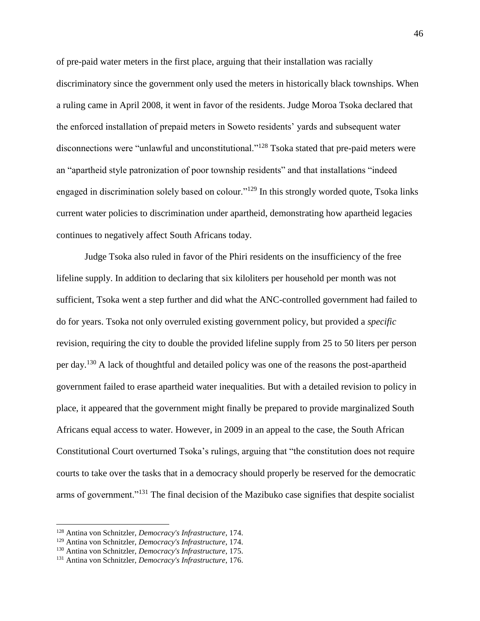of pre-paid water meters in the first place, arguing that their installation was racially discriminatory since the government only used the meters in historically black townships. When a ruling came in April 2008, it went in favor of the residents. Judge Moroa Tsoka declared that the enforced installation of prepaid meters in Soweto residents' yards and subsequent water disconnections were "unlawful and unconstitutional."<sup>128</sup> Tsoka stated that pre-paid meters were an "apartheid style patronization of poor township residents" and that installations "indeed engaged in discrimination solely based on colour."<sup>129</sup> In this strongly worded quote, Tsoka links current water policies to discrimination under apartheid, demonstrating how apartheid legacies continues to negatively affect South Africans today.

Judge Tsoka also ruled in favor of the Phiri residents on the insufficiency of the free lifeline supply. In addition to declaring that six kiloliters per household per month was not sufficient, Tsoka went a step further and did what the ANC-controlled government had failed to do for years. Tsoka not only overruled existing government policy, but provided a *specific* revision, requiring the city to double the provided lifeline supply from 25 to 50 liters per person per day.<sup>130</sup> A lack of thoughtful and detailed policy was one of the reasons the post-apartheid government failed to erase apartheid water inequalities. But with a detailed revision to policy in place, it appeared that the government might finally be prepared to provide marginalized South Africans equal access to water. However, in 2009 in an appeal to the case, the South African Constitutional Court overturned Tsoka's rulings, arguing that "the constitution does not require courts to take over the tasks that in a democracy should properly be reserved for the democratic arms of government."<sup>131</sup> The final decision of the Mazibuko case signifies that despite socialist

<sup>128</sup> Antina von Schnitzler, *Democracy's Infrastructure*, 174.

<sup>129</sup> Antina von Schnitzler, *Democracy's Infrastructure*, 174.

<sup>130</sup> Antina von Schnitzler, *Democracy's Infrastructure*, 175.

<sup>131</sup> Antina von Schnitzler, *Democracy's Infrastructure*, 176.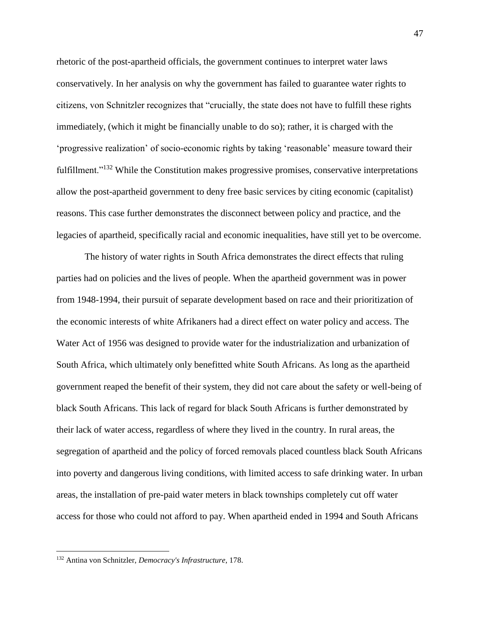rhetoric of the post-apartheid officials, the government continues to interpret water laws conservatively. In her analysis on why the government has failed to guarantee water rights to citizens, von Schnitzler recognizes that "crucially, the state does not have to fulfill these rights immediately, (which it might be financially unable to do so); rather, it is charged with the 'progressive realization' of socio-economic rights by taking 'reasonable' measure toward their fulfillment."<sup>132</sup> While the Constitution makes progressive promises, conservative interpretations allow the post-apartheid government to deny free basic services by citing economic (capitalist) reasons. This case further demonstrates the disconnect between policy and practice, and the legacies of apartheid, specifically racial and economic inequalities, have still yet to be overcome.

The history of water rights in South Africa demonstrates the direct effects that ruling parties had on policies and the lives of people. When the apartheid government was in power from 1948-1994, their pursuit of separate development based on race and their prioritization of the economic interests of white Afrikaners had a direct effect on water policy and access. The Water Act of 1956 was designed to provide water for the industrialization and urbanization of South Africa, which ultimately only benefitted white South Africans. As long as the apartheid government reaped the benefit of their system, they did not care about the safety or well-being of black South Africans. This lack of regard for black South Africans is further demonstrated by their lack of water access, regardless of where they lived in the country. In rural areas, the segregation of apartheid and the policy of forced removals placed countless black South Africans into poverty and dangerous living conditions, with limited access to safe drinking water. In urban areas, the installation of pre-paid water meters in black townships completely cut off water access for those who could not afford to pay. When apartheid ended in 1994 and South Africans

<sup>132</sup> Antina von Schnitzler, *Democracy's Infrastructure*, 178.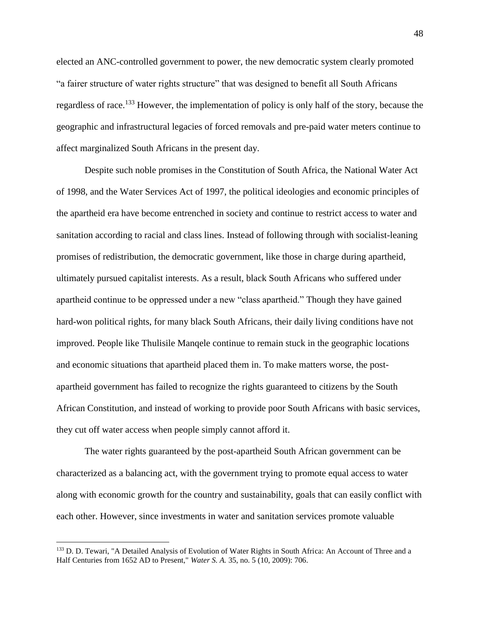elected an ANC-controlled government to power, the new democratic system clearly promoted "a fairer structure of water rights structure" that was designed to benefit all South Africans regardless of race.<sup>133</sup> However, the implementation of policy is only half of the story, because the geographic and infrastructural legacies of forced removals and pre-paid water meters continue to affect marginalized South Africans in the present day.

Despite such noble promises in the Constitution of South Africa, the National Water Act of 1998, and the Water Services Act of 1997, the political ideologies and economic principles of the apartheid era have become entrenched in society and continue to restrict access to water and sanitation according to racial and class lines. Instead of following through with socialist-leaning promises of redistribution, the democratic government, like those in charge during apartheid, ultimately pursued capitalist interests. As a result, black South Africans who suffered under apartheid continue to be oppressed under a new "class apartheid." Though they have gained hard-won political rights, for many black South Africans, their daily living conditions have not improved. People like Thulisile Manqele continue to remain stuck in the geographic locations and economic situations that apartheid placed them in. To make matters worse, the postapartheid government has failed to recognize the rights guaranteed to citizens by the South African Constitution, and instead of working to provide poor South Africans with basic services, they cut off water access when people simply cannot afford it.

The water rights guaranteed by the post-apartheid South African government can be characterized as a balancing act, with the government trying to promote equal access to water along with economic growth for the country and sustainability, goals that can easily conflict with each other. However, since investments in water and sanitation services promote valuable

<sup>&</sup>lt;sup>133</sup> D. D. Tewari, "A Detailed Analysis of Evolution of Water Rights in South Africa: An Account of Three and a Half Centuries from 1652 AD to Present," *Water S. A.* 35, no. 5 (10, 2009): 706.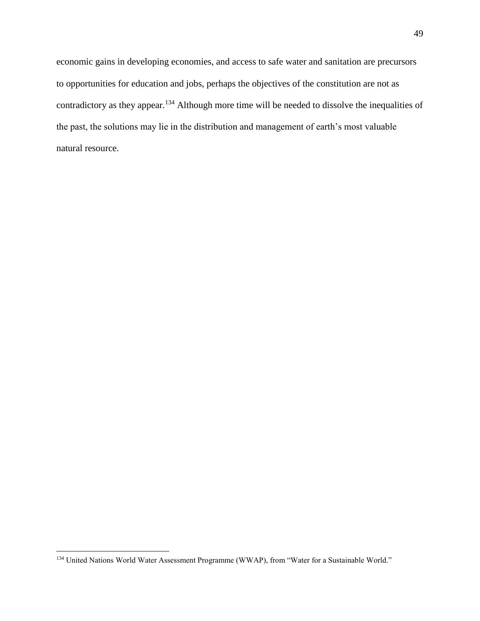economic gains in developing economies, and access to safe water and sanitation are precursors to opportunities for education and jobs, perhaps the objectives of the constitution are not as contradictory as they appear.<sup>134</sup> Although more time will be needed to dissolve the inequalities of the past, the solutions may lie in the distribution and management of earth's most valuable natural resource.

<sup>&</sup>lt;sup>134</sup> United Nations World Water Assessment Programme (WWAP), from "Water for a Sustainable World."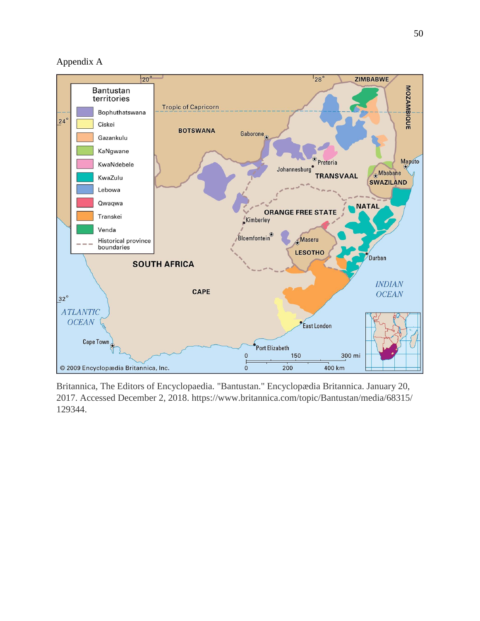Appendix A



Britannica, The Editors of Encyclopaedia. "Bantustan." Encyclopædia Britannica. January 20, 2017. Accessed December 2, 2018. https://www.britannica.com/topic/Bantustan/media/68315/ 129344.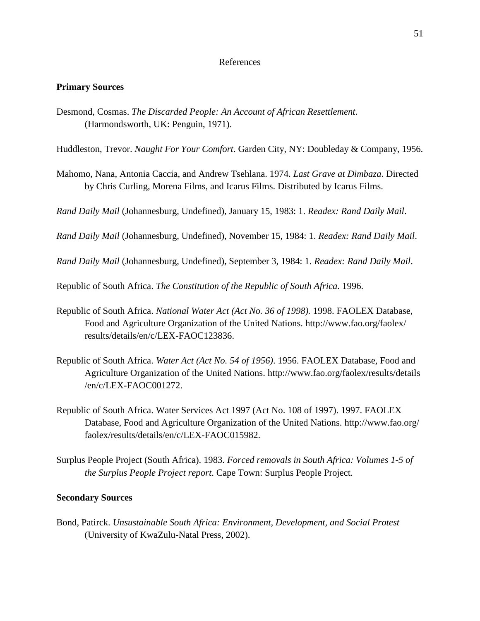#### References

#### **Primary Sources**

Desmond, Cosmas. *The Discarded People: An Account of African Resettlement*. (Harmondsworth, UK: Penguin, 1971).

Huddleston, Trevor. *Naught For Your Comfort*. Garden City, NY: Doubleday & Company, 1956.

Mahomo, Nana, Antonia Caccia, and Andrew Tsehlana. 1974. *Last Grave at Dimbaza*. Directed by Chris Curling, Morena Films, and Icarus Films. Distributed by Icarus Films.

*Rand Daily Mail* (Johannesburg, Undefined), January 15, 1983: 1. *Readex: Rand Daily Mail*.

*Rand Daily Mail* (Johannesburg, Undefined), November 15, 1984: 1. *Readex: Rand Daily Mail*.

*Rand Daily Mail* (Johannesburg, Undefined), September 3, 1984: 1. *Readex: Rand Daily Mail*.

Republic of South Africa. *The Constitution of the Republic of South Africa.* 1996.

- Republic of South Africa. *National Water Act (Act No. 36 of 1998).* 1998. FAOLEX Database, Food and Agriculture Organization of the United Nations. [http://www.fao.org/faolex/](http://www.fao.org/faolex/%20results/details/en/c/LEX-FAOC123836)  [results/details/en/c/LEX-FAOC123836.](http://www.fao.org/faolex/%20results/details/en/c/LEX-FAOC123836)
- Republic of South Africa. *Water Act (Act No. 54 of 1956)*. 1956. FAOLEX Database, Food and Agriculture Organization of the United Nations. [http://www.fao.org/faolex/results/details](http://www.fao.org/faolex/results/details%20/en/c/LEX-FAOC001272)  [/en/c/LEX-FAOC001272.](http://www.fao.org/faolex/results/details%20/en/c/LEX-FAOC001272)
- Republic of South Africa. Water Services Act 1997 (Act No. 108 of 1997). 1997. FAOLEX Database, Food and Agriculture Organization of the United Nations. [http://www.fao.org/](http://www.fao.org/%20faolex/results/details/en/c/LEX-FAOC015982)  [faolex/results/details/en/c/LEX-FAOC015982.](http://www.fao.org/%20faolex/results/details/en/c/LEX-FAOC015982)
- Surplus People Project (South Africa). 1983. *Forced removals in South Africa: Volumes 1-5 of the Surplus People Project report*. Cape Town: Surplus People Project.

#### **Secondary Sources**

Bond, Patirck. *Unsustainable South Africa: Environment, Development, and Social Protest* (University of KwaZulu-Natal Press, 2002).